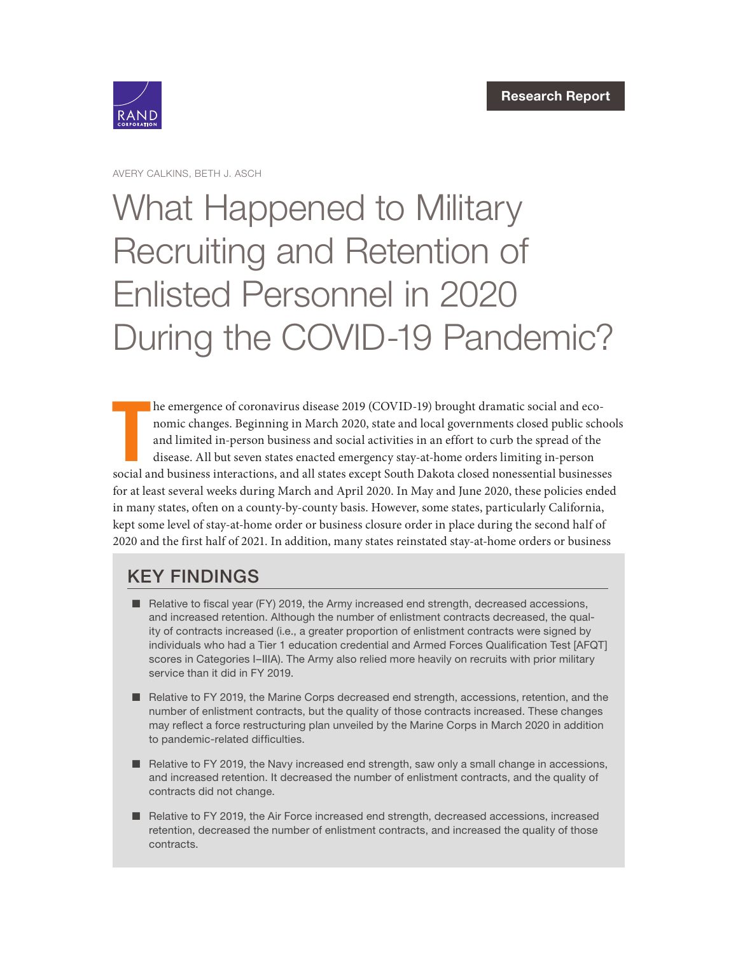

AVERY CALKINS, BETH J. ASCH

# What Happened to Military Recruiting and Retention of Enlisted Personnel in 2020 [During the COVID-19 Pandemic?](https://www.rand.org/pubs/research_reports/RRA1092-1.html)

he emergence of coronavirus disease 2019 (COVID-19) brought dramatic social and economic changes. Beginning in March 2020, state and local governments closed public school and limited in-person business and social activiti he emergence of coronavirus disease 2019 (COVID-19) brought dramatic social and economic changes. Beginning in March 2020, state and local governments closed public schools and limited in-person business and social activities in an effort to curb the spread of the disease. All but seven states enacted emergency stay-at-home orders limiting in-person for at least several weeks during March and April 2020. In May and June 2020, these policies ended in many states, often on a county-by-county basis. However, some states, particularly California, kept some level of stay-at-home order or business closure order in place during the second half of 2020 and the first half of 2021. In addition, many states reinstated stay-at-home orders or business

### KEY FINDINGS

- Relative to fiscal year (FY) 2019, the Army increased end strength, decreased accessions, and increased retention. Although the number of enlistment contracts decreased, the quality of contracts increased (i.e., a greater proportion of enlistment contracts were signed by individuals who had a Tier 1 education credential and Armed Forces Qualification Test [AFQT] scores in Categories I–IIIA). The Army also relied more heavily on recruits with prior military service than it did in FY 2019.
- Relative to FY 2019, the Marine Corps decreased end strength, accessions, retention, and the number of enlistment contracts, but the quality of those contracts increased. These changes may reflect a force restructuring plan unveiled by the Marine Corps in March 2020 in addition to pandemic-related difficulties.
- Relative to FY 2019, the Navy increased end strength, saw only a small change in accessions, and increased retention. It decreased the number of enlistment contracts, and the quality of contracts did not change.
- Relative to FY 2019, the Air Force increased end strength, decreased accessions, increased retention, decreased the number of enlistment contracts, and increased the quality of those contracts.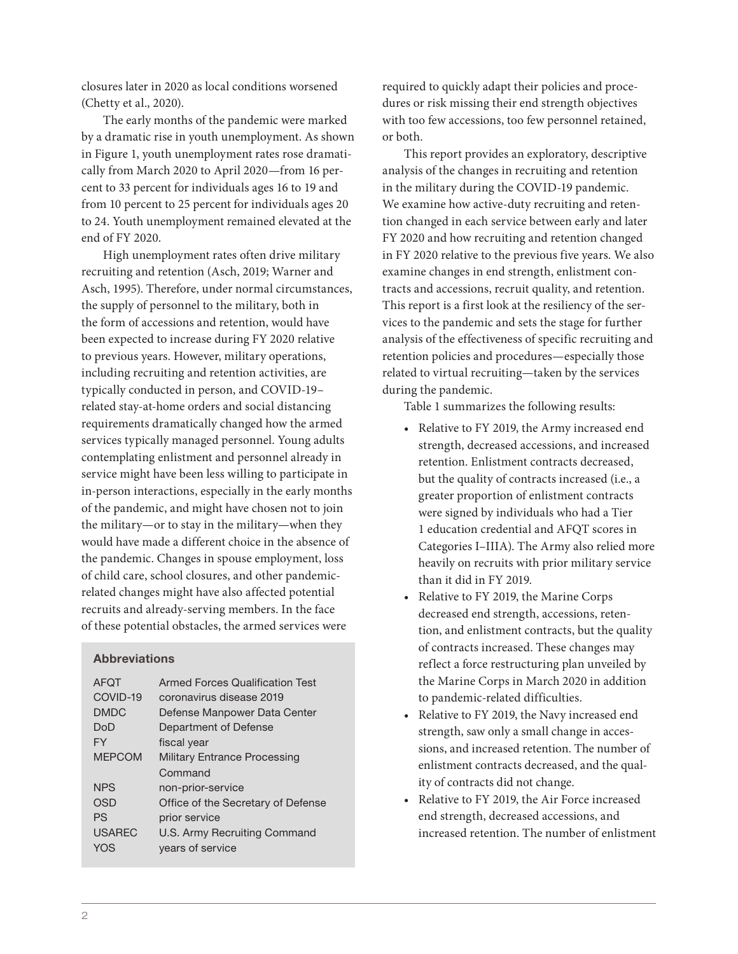closures later in 2020 as local conditions worsened (Chetty et al., 2020).

The early months of the pandemic were marked by a dramatic rise in youth unemployment. As shown in Figure 1, youth unemployment rates rose dramatically from March 2020 to April 2020—from 16 percent to 33 percent for individuals ages 16 to 19 and from 10 percent to 25 percent for individuals ages 20 to 24. Youth unemployment remained elevated at the end of FY 2020.

High unemployment rates often drive military recruiting and retention (Asch, 2019; Warner and Asch, 1995). Therefore, under normal circumstances, the supply of personnel to the military, both in the form of accessions and retention, would have been expected to increase during FY 2020 relative to previous years. However, military operations, including recruiting and retention activities, are typically conducted in person, and COVID-19– related stay-at-home orders and social distancing requirements dramatically changed how the armed services typically managed personnel. Young adults contemplating enlistment and personnel already in service might have been less willing to participate in in-person interactions, especially in the early months of the pandemic, and might have chosen not to join the military—or to stay in the military—when they would have made a different choice in the absence of the pandemic. Changes in spouse employment, loss of child care, school closures, and other pandemicrelated changes might have also affected potential recruits and already-serving members. In the face of these potential obstacles, the armed services were

#### Abbreviations

| <b>AFOT</b>   | <b>Armed Forces Qualification Test</b> |
|---------------|----------------------------------------|
| COVID-19      | coronavirus disease 2019               |
| <b>DMDC</b>   | Defense Manpower Data Center           |
| DoD           | Department of Defense                  |
| FY            | fiscal year                            |
| <b>MFPCOM</b> | <b>Military Entrance Processing</b>    |
|               | Command                                |
| <b>NPS</b>    | non-prior-service                      |
| OSD           | Office of the Secretary of Defense     |
| PS            | prior service                          |
| <b>USAREC</b> | U.S. Army Recruiting Command           |
| YOS           | years of service                       |

required to quickly adapt their policies and procedures or risk missing their end strength objectives with too few accessions, too few personnel retained, or both.

This report provides an exploratory, descriptive analysis of the changes in recruiting and retention in the military during the COVID-19 pandemic. We examine how active-duty recruiting and retention changed in each service between early and later FY 2020 and how recruiting and retention changed in FY 2020 relative to the previous five years. We also examine changes in end strength, enlistment contracts and accessions, recruit quality, and retention. This report is a first look at the resiliency of the services to the pandemic and sets the stage for further analysis of the effectiveness of specific recruiting and retention policies and procedures—especially those related to virtual recruiting—taken by the services during the pandemic.

Table 1 summarizes the following results:

- Relative to FY 2019, the Army increased end strength, decreased accessions, and increased retention. Enlistment contracts decreased, but the quality of contracts increased (i.e., a greater proportion of enlistment contracts were signed by individuals who had a Tier 1 education credential and AFQT scores in Categories I–IIIA). The Army also relied more heavily on recruits with prior military service than it did in FY 2019.
- Relative to FY 2019, the Marine Corps decreased end strength, accessions, retention, and enlistment contracts, but the quality of contracts increased. These changes may reflect a force restructuring plan unveiled by the Marine Corps in March 2020 in addition to pandemic-related difficulties.
- Relative to FY 2019, the Navy increased end strength, saw only a small change in accessions, and increased retention. The number of enlistment contracts decreased, and the quality of contracts did not change.
- Relative to FY 2019, the Air Force increased end strength, decreased accessions, and increased retention. The number of enlistment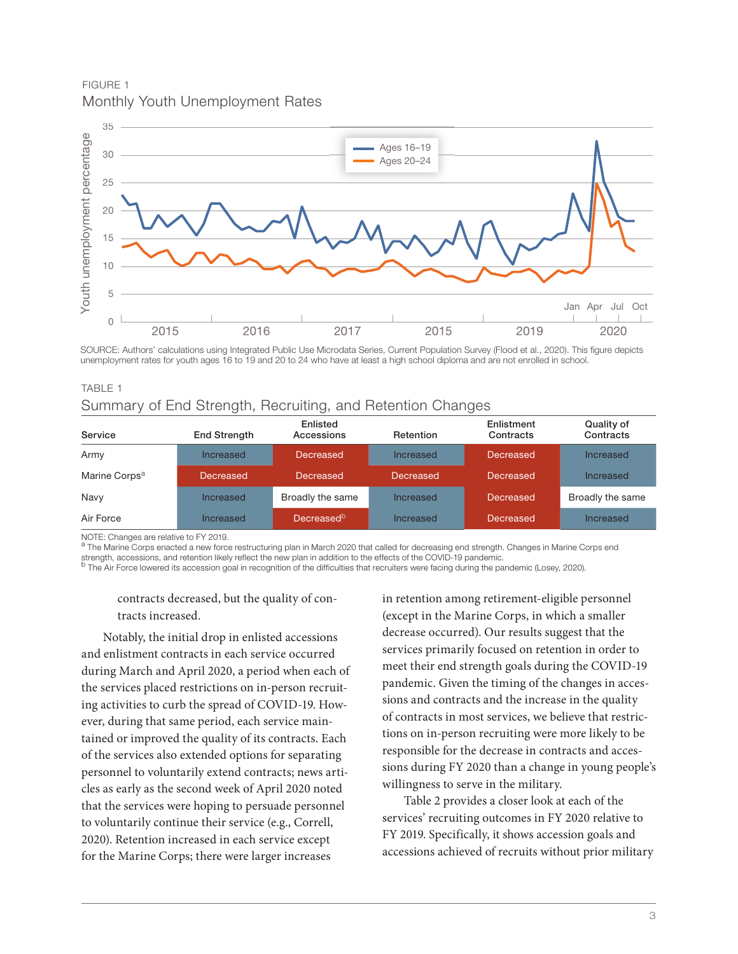FIGURE 1 Monthly Youth Unemployment Rates



SOURCE: Authors' calculations using Integrated Public Use Microdata Series, Current Population Survey (Flood et al., 2020). This figure depicts unemployment rates for youth ages 16 to 19 and 20 to 24 who have at least a high school diploma and are not enrolled in school.

| 10ULL 1                   |                                                            |                        |           |                         |                         |
|---------------------------|------------------------------------------------------------|------------------------|-----------|-------------------------|-------------------------|
|                           | Summary of End Strength, Recruiting, and Retention Changes |                        |           |                         |                         |
| Service                   | <b>End Strength</b>                                        | Enlisted<br>Accessions | Retention | Enlistment<br>Contracts | Quality of<br>Contracts |
| Army                      | Increased                                                  | Decreased              | Increased | <b>Decreased</b>        | Increased               |
| Marine Corps <sup>a</sup> | Decreased                                                  | Decreased              | Decreased | <b>Decreased</b>        | Increased               |

Air Force **Increased** Decreased Increased Decreased **Increased** Decreased Increased

TABLE 1

NOTE: Changes are relative to FY 2019.<br><sup>a</sup> The Marine Corps enacted a new force restructuring plan in March 2020 that called for decreasing end strength. Changes in Marine Corps end strength, accessions, and retention likely reflect the new plan in addition to the effects of the COVID-19 pandemic.

Navy **Increased** Broadly the same Increased Decreased Broadly the same

b The Air Force lowered its accession goal in recognition of the difficulties that recruiters were facing during the pandemic (Losey, 2020).

#### contracts decreased, but the quality of contracts increased.

Notably, the initial drop in enlisted accessions and enlistment contracts in each service occurred during March and April 2020, a period when each of the services placed restrictions on in-person recruiting activities to curb the spread of COVID-19. However, during that same period, each service maintained or improved the quality of its contracts. Each of the services also extended options for separating personnel to voluntarily extend contracts; news articles as early as the second week of April 2020 noted that the services were hoping to persuade personnel to voluntarily continue their service (e.g., Correll, 2020). Retention increased in each service except for the Marine Corps; there were larger increases

in retention among retirement-eligible personnel (except in the Marine Corps, in which a smaller decrease occurred). Our results suggest that the services primarily focused on retention in order to meet their end strength goals during the COVID-19 pandemic. Given the timing of the changes in accessions and contracts and the increase in the quality of contracts in most services, we believe that restrictions on in-person recruiting were more likely to be responsible for the decrease in contracts and accessions during FY 2020 than a change in young people's willingness to serve in the military.

Table 2 provides a closer look at each of the services' recruiting outcomes in FY 2020 relative to FY 2019. Specifically, it shows accession goals and accessions achieved of recruits without prior military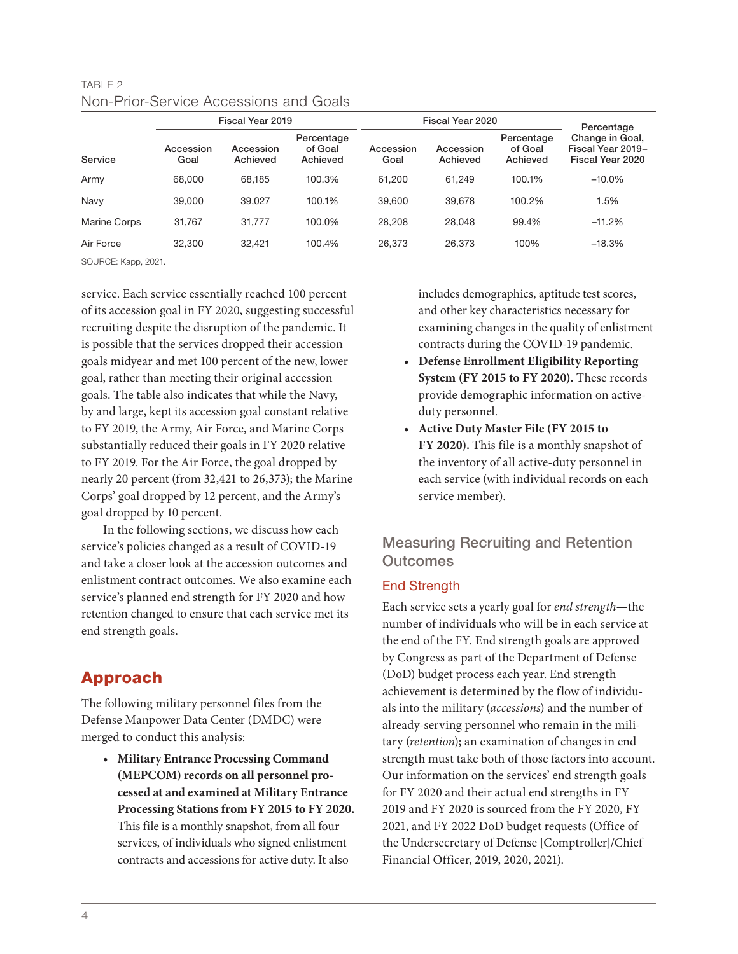### TABLE 2 Non-Prior-Service Accessions and Goals

|              | Fiscal Year 2019  |                       |                                   | Fiscal Year 2020  |                       |                                   | Percentage                                               |
|--------------|-------------------|-----------------------|-----------------------------------|-------------------|-----------------------|-----------------------------------|----------------------------------------------------------|
| Service      | Accession<br>Goal | Accession<br>Achieved | Percentage<br>of Goal<br>Achieved | Accession<br>Goal | Accession<br>Achieved | Percentage<br>of Goal<br>Achieved | Change in Goal,<br>Fiscal Year 2019-<br>Fiscal Year 2020 |
| Army         | 68,000            | 68.185                | 100.3%                            | 61.200            | 61.249                | 100.1%                            | $-10.0\%$                                                |
| Navy         | 39,000            | 39.027                | 100.1%                            | 39,600            | 39,678                | 100.2%                            | 1.5%                                                     |
| Marine Corps | 31.767            | 31.777                | 100.0%                            | 28.208            | 28.048                | 99.4%                             | $-11.2%$                                                 |
| Air Force    | 32,300            | 32.421                | 100.4%                            | 26.373            | 26,373                | 100%                              | $-18.3%$                                                 |

SOURCE: Kapp, 2021.

service. Each service essentially reached 100 percent of its accession goal in FY 2020, suggesting successful recruiting despite the disruption of the pandemic. It is possible that the services dropped their accession goals midyear and met 100 percent of the new, lower goal, rather than meeting their original accession goals. The table also indicates that while the Navy, by and large, kept its accession goal constant relative to FY 2019, the Army, Air Force, and Marine Corps substantially reduced their goals in FY 2020 relative to FY 2019. For the Air Force, the goal dropped by nearly 20 percent (from 32,421 to 26,373); the Marine Corps' goal dropped by 12 percent, and the Army's goal dropped by 10 percent.

In the following sections, we discuss how each service's policies changed as a result of COVID-19 and take a closer look at the accession outcomes and enlistment contract outcomes. We also examine each service's planned end strength for FY 2020 and how retention changed to ensure that each service met its end strength goals.

### Approach

The following military personnel files from the Defense Manpower Data Center (DMDC) were merged to conduct this analysis:

**• Military Entrance Processing Command (MEPCOM) records on all personnel processed at and examined at Military Entrance Processing Stations from FY 2015 to FY 2020.**  This file is a monthly snapshot, from all four services, of individuals who signed enlistment contracts and accessions for active duty. It also

includes demographics, aptitude test scores, and other key characteristics necessary for examining changes in the quality of enlistment contracts during the COVID-19 pandemic.

- **• Defense Enrollment Eligibility Reporting System (FY 2015 to FY 2020).** These records provide demographic information on activeduty personnel.
- **• Active Duty Master File (FY 2015 to FY 2020).** This file is a monthly snapshot of the inventory of all active-duty personnel in each service (with individual records on each service member).

### Measuring Recruiting and Retention **Outcomes**

### End Strength

Each service sets a yearly goal for *end strength*—the number of individuals who will be in each service at the end of the FY. End strength goals are approved by Congress as part of the Department of Defense (DoD) budget process each year. End strength achievement is determined by the flow of individuals into the military (*accessions*) and the number of already-serving personnel who remain in the military (*retention*); an examination of changes in end strength must take both of those factors into account. Our information on the services' end strength goals for FY 2020 and their actual end strengths in FY 2019 and FY 2020 is sourced from the FY 2020, FY 2021, and FY 2022 DoD budget requests (Office of the Undersecretary of Defense [Comptroller]/Chief Financial Officer, 2019, 2020, 2021).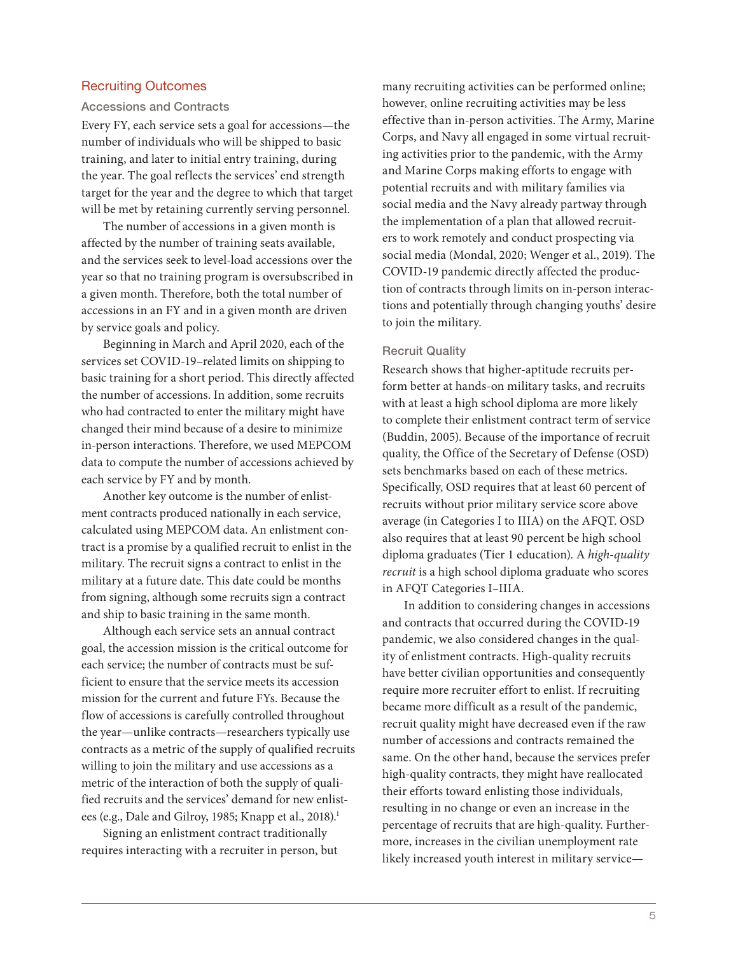#### Recruiting Outcomes

#### Accessions and Contracts

Every FY, each service sets a goal for accessions—the number of individuals who will be shipped to basic training, and later to initial entry training, during the year. The goal reflects the services' end strength target for the year and the degree to which that target will be met by retaining currently serving personnel.

The number of accessions in a given month is affected by the number of training seats available, and the services seek to level-load accessions over the year so that no training program is oversubscribed in a given month. Therefore, both the total number of accessions in an FY and in a given month are driven by service goals and policy.

Beginning in March and April 2020, each of the services set COVID-19–related limits on shipping to basic training for a short period. This directly affected the number of accessions. In addition, some recruits who had contracted to enter the military might have changed their mind because of a desire to minimize in-person interactions. Therefore, we used MEPCOM data to compute the number of accessions achieved by each service by FY and by month.

Another key outcome is the number of enlistment contracts produced nationally in each service, calculated using MEPCOM data. An enlistment contract is a promise by a qualified recruit to enlist in the military. The recruit signs a contract to enlist in the military at a future date. This date could be months from signing, although some recruits sign a contract and ship to basic training in the same month.

Although each service sets an annual contract goal, the accession mission is the critical outcome for each service; the number of contracts must be sufficient to ensure that the service meets its accession mission for the current and future FYs. Because the flow of accessions is carefully controlled throughout the year—unlike contracts—researchers typically use contracts as a metric of the supply of qualified recruits willing to join the military and use accessions as a metric of the interaction of both the supply of qualified recruits and the services' demand for new enlistees (e.g., Dale and Gilroy, 1985; Knapp et al., 2018).<sup>1</sup>

Signing an enlistment contract traditionally requires interacting with a recruiter in person, but

many recruiting activities can be performed online; however, online recruiting activities may be less effective than in-person activities. The Army, Marine Corps, and Navy all engaged in some virtual recruiting activities prior to the pandemic, with the Army and Marine Corps making efforts to engage with potential recruits and with military families via social media and the Navy already partway through the implementation of a plan that allowed recruiters to work remotely and conduct prospecting via social media (Mondal, 2020; Wenger et al., 2019). The COVID-19 pandemic directly affected the production of contracts through limits on in-person interactions and potentially through changing youths' desire to join the military.

#### Recruit Quality

Research shows that higher-aptitude recruits perform better at hands-on military tasks, and recruits with at least a high school diploma are more likely to complete their enlistment contract term of service (Buddin, 2005). Because of the importance of recruit quality, the Office of the Secretary of Defense (OSD) sets benchmarks based on each of these metrics. Specifically, OSD requires that at least 60 percent of recruits without prior military service score above average (in Categories I to IIIA) on the AFQT. OSD also requires that at least 90 percent be high school diploma graduates (Tier 1 education). A *high-quality recruit* is a high school diploma graduate who scores in AFQT Categories I–IIIA.

In addition to considering changes in accessions and contracts that occurred during the COVID-19 pandemic, we also considered changes in the quality of enlistment contracts. High-quality recruits have better civilian opportunities and consequently require more recruiter effort to enlist. If recruiting became more difficult as a result of the pandemic, recruit quality might have decreased even if the raw number of accessions and contracts remained the same. On the other hand, because the services prefer high-quality contracts, they might have reallocated their efforts toward enlisting those individuals, resulting in no change or even an increase in the percentage of recruits that are high-quality. Furthermore, increases in the civilian unemployment rate likely increased youth interest in military service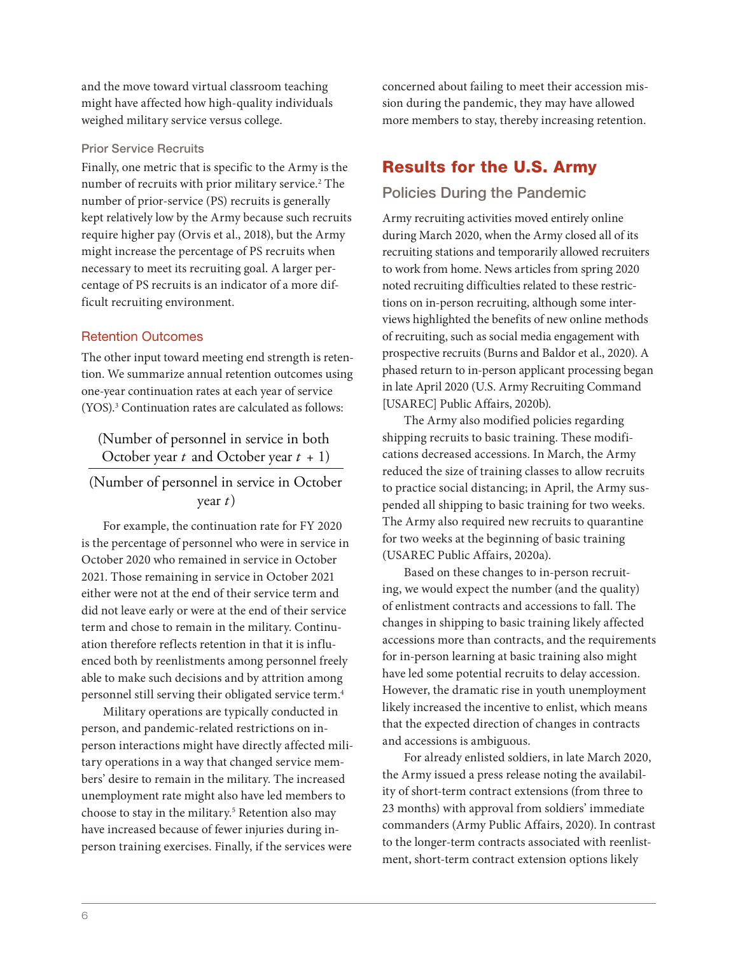and the move toward virtual classroom teaching might have affected how high-quality individuals weighed military service versus college.

#### Prior Service Recruits

Finally, one metric that is specific to the Army is the number of recruits with prior military service.<sup>2</sup> The number of prior-service (PS) recruits is generally kept relatively low by the Army because such recruits require higher pay (Orvis et al., 2018), but the Army might increase the percentage of PS recruits when necessary to meet its recruiting goal. A larger percentage of PS recruits is an indicator of a more difficult recruiting environment.

#### Retention Outcomes

The other input toward meeting end strength is retention. We summarize annual retention outcomes using one-year continuation rates at each year of service (YOS).3 Continuation rates are calculated as follows:

(Number of personnel in service in both October year *t* and October year *t* + 1)

### (Number of personnel in service in October year *t*)

For example, the continuation rate for FY 2020 is the percentage of personnel who were in service in October 2020 who remained in service in October 2021. Those remaining in service in October 2021 either were not at the end of their service term and did not leave early or were at the end of their service term and chose to remain in the military. Continuation therefore reflects retention in that it is influenced both by reenlistments among personnel freely able to make such decisions and by attrition among personnel still serving their obligated service term.4

Military operations are typically conducted in person, and pandemic-related restrictions on inperson interactions might have directly affected military operations in a way that changed service members' desire to remain in the military. The increased unemployment rate might also have led members to choose to stay in the military.5 Retention also may have increased because of fewer injuries during inperson training exercises. Finally, if the services were

concerned about failing to meet their accession mission during the pandemic, they may have allowed more members to stay, thereby increasing retention.

### Results for the U.S. Army

### Policies During the Pandemic

Army recruiting activities moved entirely online during March 2020, when the Army closed all of its recruiting stations and temporarily allowed recruiters to work from home. News articles from spring 2020 noted recruiting difficulties related to these restrictions on in-person recruiting, although some interviews highlighted the benefits of new online methods of recruiting, such as social media engagement with prospective recruits (Burns and Baldor et al., 2020). A phased return to in-person applicant processing began in late April 2020 (U.S. Army Recruiting Command [USAREC] Public Affairs, 2020b).

The Army also modified policies regarding shipping recruits to basic training. These modifications decreased accessions. In March, the Army reduced the size of training classes to allow recruits to practice social distancing; in April, the Army suspended all shipping to basic training for two weeks. The Army also required new recruits to quarantine for two weeks at the beginning of basic training (USAREC Public Affairs, 2020a).

Based on these changes to in-person recruiting, we would expect the number (and the quality) of enlistment contracts and accessions to fall. The changes in shipping to basic training likely affected accessions more than contracts, and the requirements for in-person learning at basic training also might have led some potential recruits to delay accession. However, the dramatic rise in youth unemployment likely increased the incentive to enlist, which means that the expected direction of changes in contracts and accessions is ambiguous.

For already enlisted soldiers, in late March 2020, the Army issued a press release noting the availability of short-term contract extensions (from three to 23 months) with approval from soldiers' immediate commanders (Army Public Affairs, 2020). In contrast to the longer-term contracts associated with reenlistment, short-term contract extension options likely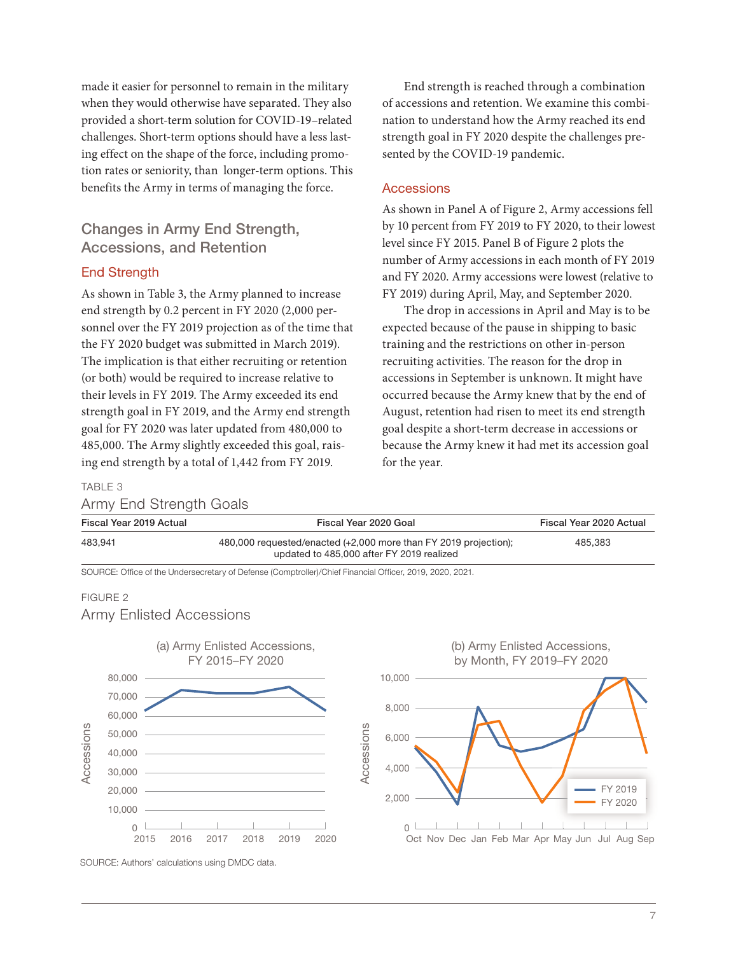made it easier for personnel to remain in the military when they would otherwise have separated. They also provided a short-term solution for COVID-19–related challenges. Short-term options should have a less lasting effect on the shape of the force, including promotion rates or seniority, than longer-term options. This benefits the Army in terms of managing the force.

### Changes in Army End Strength, Accessions, and Retention

#### **End Strength**

As shown in Table 3, the Army planned to increase end strength by 0.2 percent in FY 2020 (2,000 personnel over the FY 2019 projection as of the time that the FY 2020 budget was submitted in March 2019). The implication is that either recruiting or retention (or both) would be required to increase relative to their levels in FY 2019. The Army exceeded its end strength goal in FY 2019, and the Army end strength goal for FY 2020 was later updated from 480,000 to 485,000. The Army slightly exceeded this goal, raising end strength by a total of 1,442 from FY 2019.

End strength is reached through a combination of accessions and retention. We examine this combination to understand how the Army reached its end strength goal in FY 2020 despite the challenges presented by the COVID-19 pandemic.

#### Accessions

As shown in Panel A of Figure 2, Army accessions fell by 10 percent from FY 2019 to FY 2020, to their lowest level since FY 2015. Panel B of Figure 2 plots the number of Army accessions in each month of FY 2019 and FY 2020. Army accessions were lowest (relative to FY 2019) during April, May, and September 2020.

The drop in accessions in April and May is to be expected because of the pause in shipping to basic training and the restrictions on other in-person recruiting activities. The reason for the drop in accessions in September is unknown. It might have occurred because the Army knew that by the end of August, retention had risen to meet its end strength goal despite a short-term decrease in accessions or because the Army knew it had met its accession goal for the year.

#### TABLE 3

Army End Strength Goals

| Fiscal Year 2019 Actual | Fiscal Year 2020 Goal                                                                                         | Fiscal Year 2020 Actual |
|-------------------------|---------------------------------------------------------------------------------------------------------------|-------------------------|
| 483.941                 | 480,000 requested/enacted (+2,000 more than FY 2019 projection);<br>updated to 485,000 after FY 2019 realized | 485.383                 |

SOURCE: Office of the Undersecretary of Defense (Comptroller)/Chief Financial Officer, 2019, 2020, 2021.

#### FIGURE 2

#### Army Enlisted Accessions



SOURCE: Authors' calculations using DMDC data.

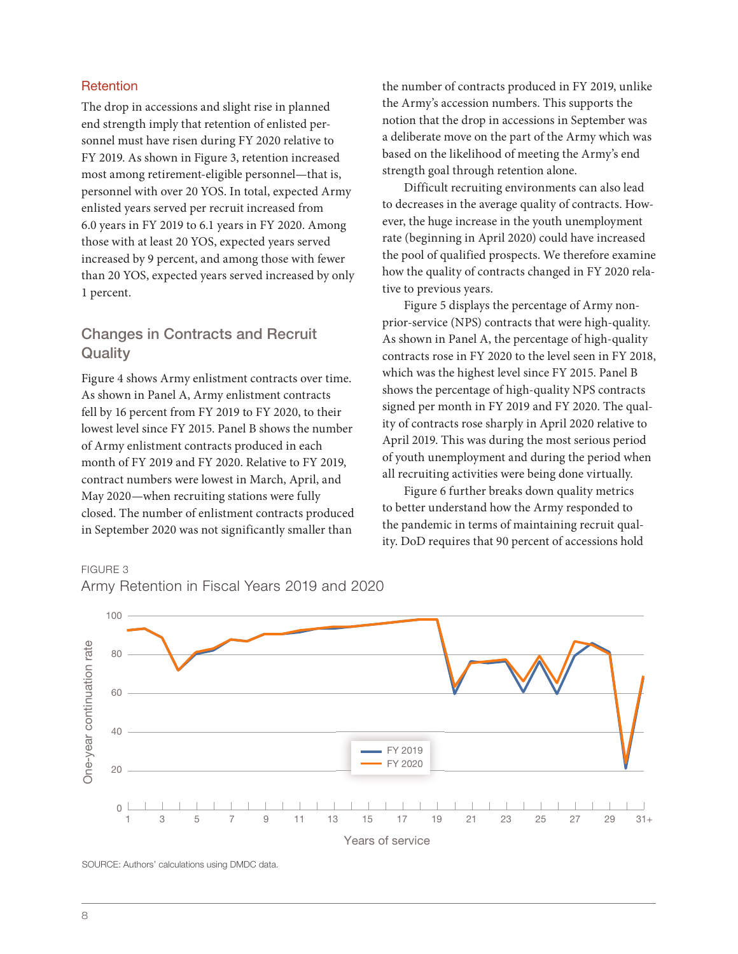#### **Retention**

The drop in accessions and slight rise in planned end strength imply that retention of enlisted personnel must have risen during FY 2020 relative to FY 2019. As shown in Figure 3, retention increased most among retirement-eligible personnel—that is, personnel with over 20 YOS. In total, expected Army enlisted years served per recruit increased from 6.0 years in FY 2019 to 6.1 years in FY 2020. Among those with at least 20 YOS, expected years served increased by 9 percent, and among those with fewer than 20 YOS, expected years served increased by only 1 percent.

### Changes in Contracts and Recruit **Quality**

Figure 4 shows Army enlistment contracts over time. As shown in Panel A, Army enlistment contracts fell by 16 percent from FY 2019 to FY 2020, to their lowest level since FY 2015. Panel B shows the number of Army enlistment contracts produced in each month of FY 2019 and FY 2020. Relative to FY 2019, contract numbers were lowest in March, April, and May 2020—when recruiting stations were fully closed. The number of enlistment contracts produced in September 2020 was not significantly smaller than

the number of contracts produced in FY 2019, unlike the Army's accession numbers. This supports the notion that the drop in accessions in September was a deliberate move on the part of the Army which was based on the likelihood of meeting the Army's end strength goal through retention alone.

Difficult recruiting environments can also lead to decreases in the average quality of contracts. However, the huge increase in the youth unemployment rate (beginning in April 2020) could have increased the pool of qualified prospects. We therefore examine how the quality of contracts changed in FY 2020 relative to previous years.

Figure 5 displays the percentage of Army nonprior-service (NPS) contracts that were high-quality. As shown in Panel A, the percentage of high-quality contracts rose in FY 2020 to the level seen in FY 2018, which was the highest level since FY 2015. Panel B shows the percentage of high-quality NPS contracts signed per month in FY 2019 and FY 2020. The quality of contracts rose sharply in April 2020 relative to April 2019. This was during the most serious period of youth unemployment and during the period when all recruiting activities were being done virtually.

Figure 6 further breaks down quality metrics to better understand how the Army responded to the pandemic in terms of maintaining recruit quality. DoD requires that 90 percent of accessions hold

### 100 One-year continuation rate One-year continuation rate  $80$ 60 40 FY 2019 FY 2020 20 0 1 3 5 7 9 11 13 15 17 19 21 23 25 27 29 31+Years of service

Army Retention in Fiscal Years 2019 and 2020

SOURCE: Authors' calculations using DMDC data.

FIGURE 3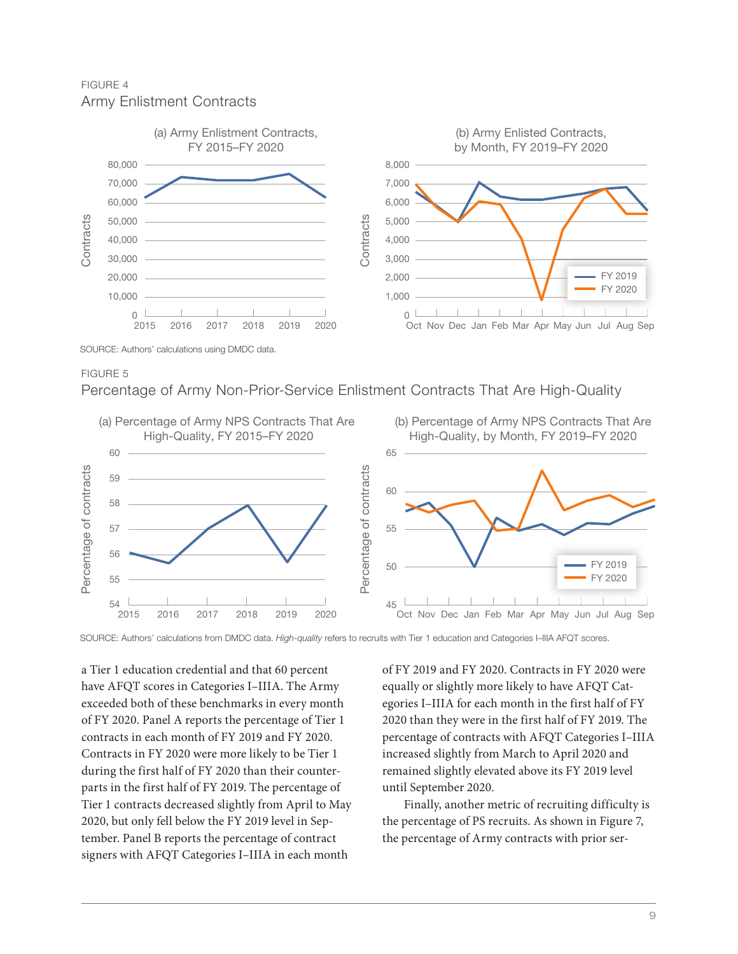FIGURE 4 Army Enlistment Contracts



SOURCE: Authors' calculations using DMDC data.

FIGURE 5

Percentage of Army Non-Prior-Service Enlistment Contracts That Are High-Quality



a Tier 1 education credential and that 60 percent have AFQT scores in Categories I–IIIA. The Army exceeded both of these benchmarks in every month of FY 2020. Panel A reports the percentage of Tier 1 contracts in each month of FY 2019 and FY 2020. Contracts in FY 2020 were more likely to be Tier 1 during the first half of FY 2020 than their counterparts in the first half of FY 2019. The percentage of Tier 1 contracts decreased slightly from April to May 2020, but only fell below the FY 2019 level in September. Panel B reports the percentage of contract signers with AFQT Categories I–IIIA in each month

of FY 2019 and FY 2020. Contracts in FY 2020 were equally or slightly more likely to have AFQT Categories I–IIIA for each month in the first half of FY 2020 than they were in the first half of FY 2019. The percentage of contracts with AFQT Categories I–IIIA increased slightly from March to April 2020 and remained slightly elevated above its FY 2019 level until September 2020.

Finally, another metric of recruiting difficulty is the percentage of PS recruits. As shown in Figure 7, the percentage of Army contracts with prior ser-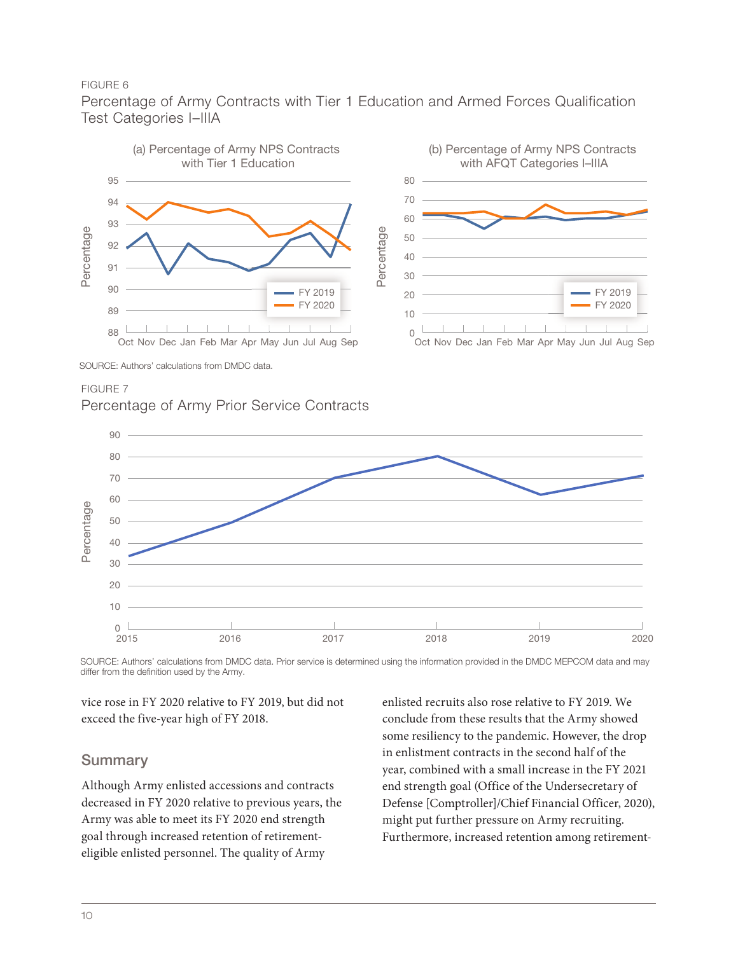Percentage of Army Contracts with Tier 1 Education and Armed Forces Qualification Test Categories I–IIIA



SOURCE: Authors' calculations from DMDC data.

FIGURE 7

Percentage of Army Prior Service Contracts



SOURCE: Authors' calculations from DMDC data. Prior service is determined using the information provided in the DMDC MEPCOM data and may differ from the definition used by the Army.

vice rose in FY 2020 relative to FY 2019, but did not exceed the five-year high of FY 2018.

### Summary

Although Army enlisted accessions and contracts decreased in FY 2020 relative to previous years, the Army was able to meet its FY 2020 end strength goal through increased retention of retirementeligible enlisted personnel. The quality of Army

enlisted recruits also rose relative to FY 2019. We conclude from these results that the Army showed some resiliency to the pandemic. However, the drop in enlistment contracts in the second half of the year, combined with a small increase in the FY 2021 end strength goal (Office of the Undersecretary of Defense [Comptroller]/Chief Financial Officer, 2020), might put further pressure on Army recruiting. Furthermore, increased retention among retirement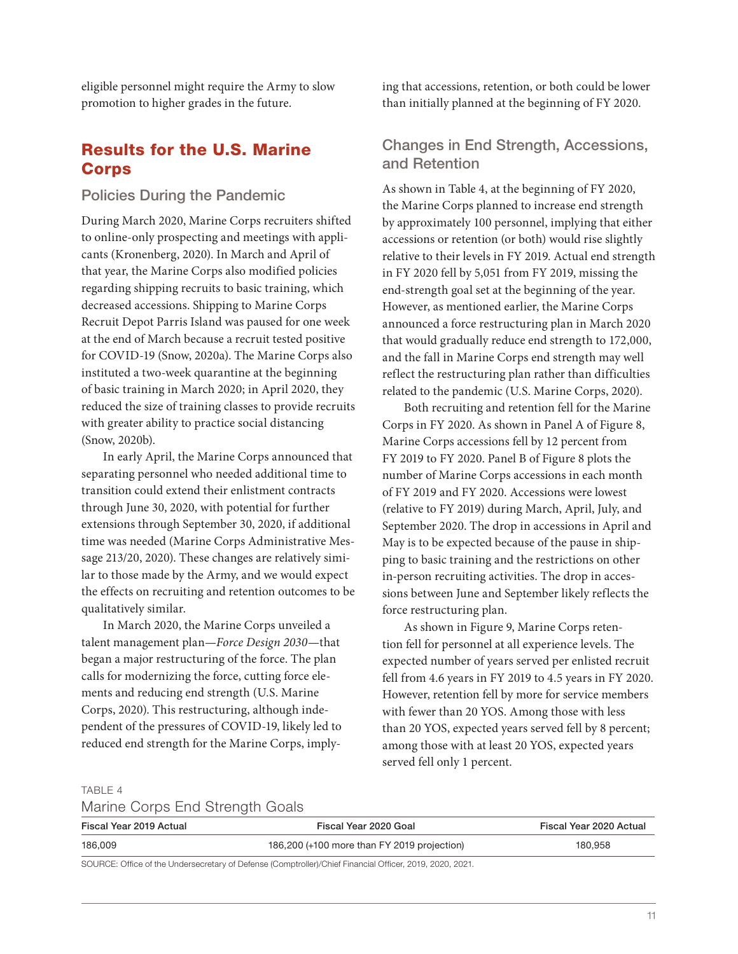eligible personnel might require the Army to slow promotion to higher grades in the future.

### Results for the U.S. Marine Corps

#### Policies During the Pandemic

During March 2020, Marine Corps recruiters shifted to online-only prospecting and meetings with applicants (Kronenberg, 2020). In March and April of that year, the Marine Corps also modified policies regarding shipping recruits to basic training, which decreased accessions. Shipping to Marine Corps Recruit Depot Parris Island was paused for one week at the end of March because a recruit tested positive for COVID-19 (Snow, 2020a). The Marine Corps also instituted a two-week quarantine at the beginning of basic training in March 2020; in April 2020, they reduced the size of training classes to provide recruits with greater ability to practice social distancing (Snow, 2020b).

In early April, the Marine Corps announced that separating personnel who needed additional time to transition could extend their enlistment contracts through June 30, 2020, with potential for further extensions through September 30, 2020, if additional time was needed (Marine Corps Administrative Message 213/20, 2020). These changes are relatively similar to those made by the Army, and we would expect the effects on recruiting and retention outcomes to be qualitatively similar.

In March 2020, the Marine Corps unveiled a talent management plan—*Force Design 2030*—that began a major restructuring of the force. The plan calls for modernizing the force, cutting force elements and reducing end strength (U.S. Marine Corps, 2020). This restructuring, although independent of the pressures of COVID-19, likely led to reduced end strength for the Marine Corps, implying that accessions, retention, or both could be lower than initially planned at the beginning of FY 2020.

### Changes in End Strength, Accessions, and Retention

As shown in Table 4, at the beginning of FY 2020, the Marine Corps planned to increase end strength by approximately 100 personnel, implying that either accessions or retention (or both) would rise slightly relative to their levels in FY 2019. Actual end strength in FY 2020 fell by 5,051 from FY 2019, missing the end-strength goal set at the beginning of the year. However, as mentioned earlier, the Marine Corps announced a force restructuring plan in March 2020 that would gradually reduce end strength to 172,000, and the fall in Marine Corps end strength may well reflect the restructuring plan rather than difficulties related to the pandemic (U.S. Marine Corps, 2020).

Both recruiting and retention fell for the Marine Corps in FY 2020. As shown in Panel A of Figure 8, Marine Corps accessions fell by 12 percent from FY 2019 to FY 2020. Panel B of Figure 8 plots the number of Marine Corps accessions in each month of FY 2019 and FY 2020. Accessions were lowest (relative to FY 2019) during March, April, July, and September 2020. The drop in accessions in April and May is to be expected because of the pause in shipping to basic training and the restrictions on other in-person recruiting activities. The drop in accessions between June and September likely reflects the force restructuring plan.

As shown in Figure 9, Marine Corps retention fell for personnel at all experience levels. The expected number of years served per enlisted recruit fell from 4.6 years in FY 2019 to 4.5 years in FY 2020. However, retention fell by more for service members with fewer than 20 YOS. Among those with less than 20 YOS, expected years served fell by 8 percent; among those with at least 20 YOS, expected years served fell only 1 percent.

TABLE 4

|  |  |  | Marine Corps End Strength Goals |  |
|--|--|--|---------------------------------|--|
|--|--|--|---------------------------------|--|

| Fiscal Year 2019 Actual | Fiscal Year 2020 Goal                                                                                    | Fiscal Year 2020 Actual |
|-------------------------|----------------------------------------------------------------------------------------------------------|-------------------------|
| 186,009                 | 186,200 (+100 more than FY 2019 projection)                                                              | 180.958                 |
|                         | SOURCE: Office of the Undersecretary of Defense (Comptroller)/Chief Financial Officer, 2019, 2020, 2021. |                         |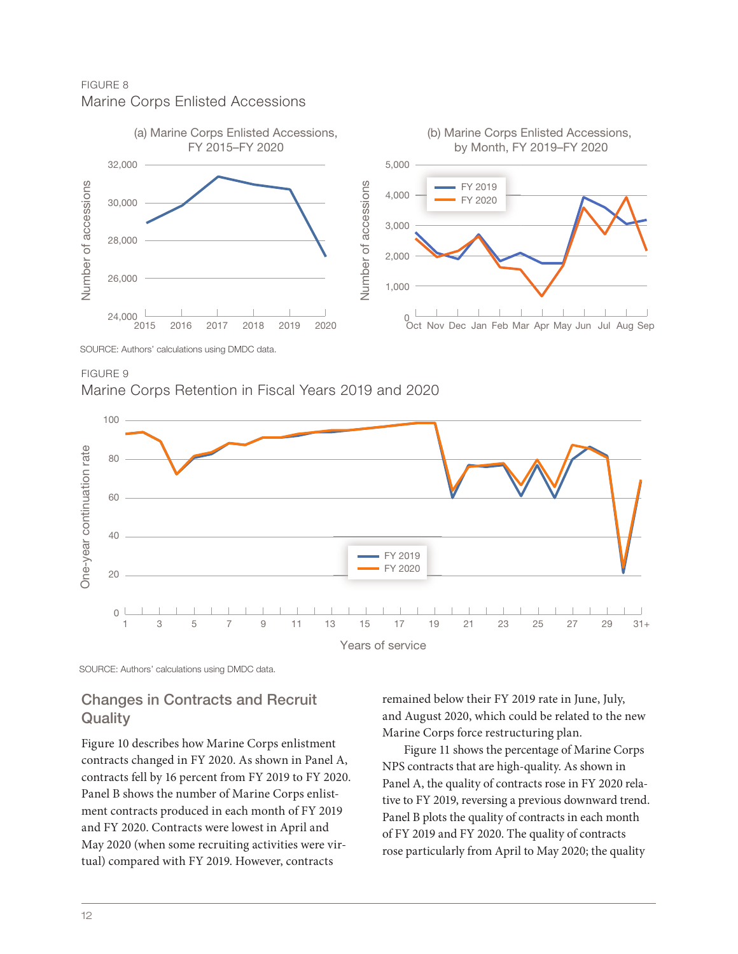FIGURE 8 Marine Corps Enlisted Accessions



FIGURE 9 Marine Corps Retention in Fiscal Years 2019 and 2020



SOURCE: Authors' calculations using DMDC data.

### Changes in Contracts and Recruit **Quality**

Figure 10 describes how Marine Corps enlistment contracts changed in FY 2020. As shown in Panel A, contracts fell by 16 percent from FY 2019 to FY 2020. Panel B shows the number of Marine Corps enlistment contracts produced in each month of FY 2019 and FY 2020. Contracts were lowest in April and May 2020 (when some recruiting activities were virtual) compared with FY 2019. However, contracts

remained below their FY 2019 rate in June, July, and August 2020, which could be related to the new Marine Corps force restructuring plan.

Figure 11 shows the percentage of Marine Corps NPS contracts that are high-quality. As shown in Panel A, the quality of contracts rose in FY 2020 relative to FY 2019, reversing a previous downward trend. Panel B plots the quality of contracts in each month of FY 2019 and FY 2020. The quality of contracts rose particularly from April to May 2020; the quality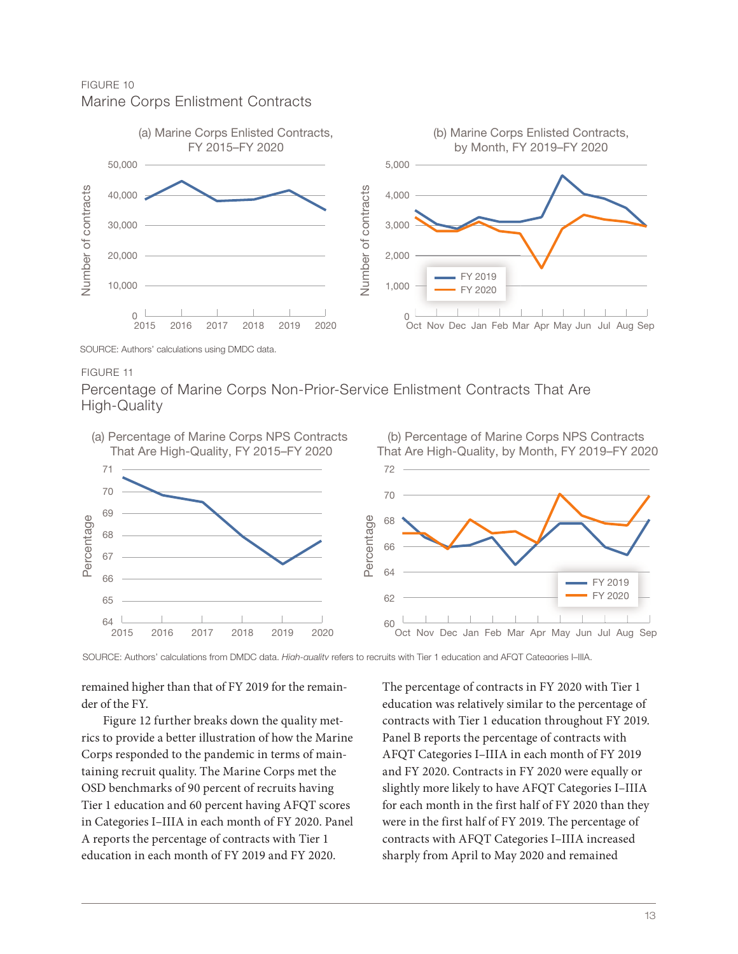FIGURE 10 Marine Corps Enlistment Contracts



Percentage of Marine Corps Non-Prior-Service Enlistment Contracts That Are High-Quality



remained higher than that of FY 2019 for the remainder of the FY.

Figure 12 further breaks down the quality metrics to provide a better illustration of how the Marine Corps responded to the pandemic in terms of maintaining recruit quality. The Marine Corps met the OSD benchmarks of 90 percent of recruits having Tier 1 education and 60 percent having AFQT scores in Categories I–IIIA in each month of FY 2020. Panel A reports the percentage of contracts with Tier 1 education in each month of FY 2019 and FY 2020.

The percentage of contracts in FY 2020 with Tier 1 education was relatively similar to the percentage of contracts with Tier 1 education throughout FY 2019. Panel B reports the percentage of contracts with AFQT Categories I–IIIA in each month of FY 2019 and FY 2020. Contracts in FY 2020 were equally or slightly more likely to have AFQT Categories I–IIIA for each month in the first half of FY 2020 than they were in the first half of FY 2019. The percentage of contracts with AFQT Categories I–IIIA increased sharply from April to May 2020 and remained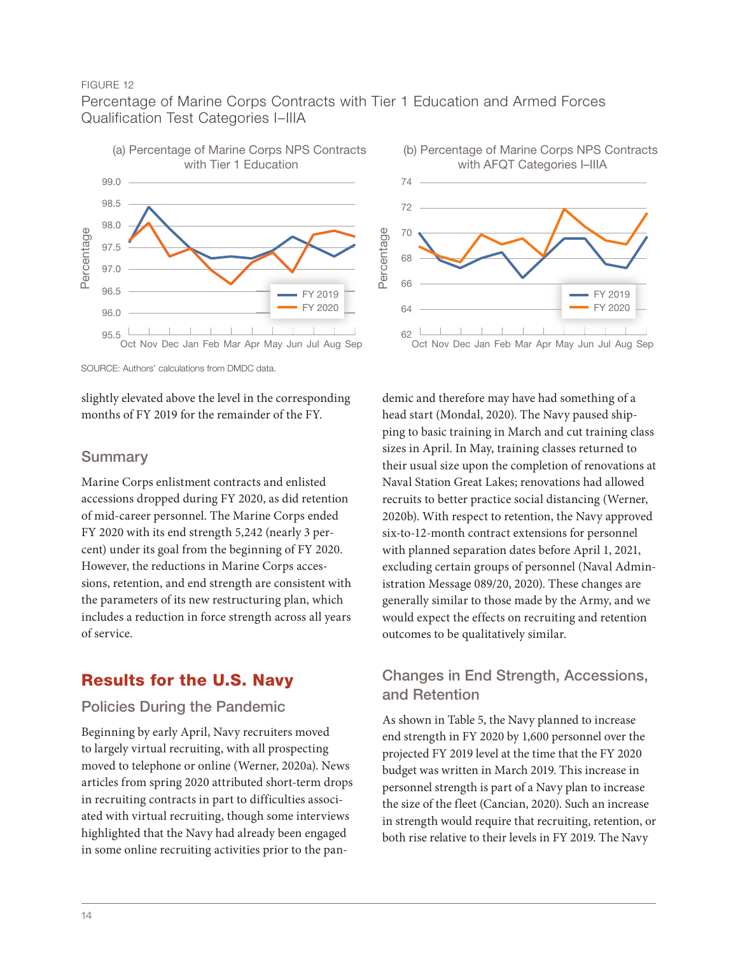Percentage of Marine Corps Contracts with Tier 1 Education and Armed Forces Qualification Test Categories I–IIIA



SOURCE: Authors' calculations from DMDC data.

slightly elevated above the level in the corresponding months of FY 2019 for the remainder of the FY.

### Summary

Marine Corps enlistment contracts and enlisted accessions dropped during FY 2020, as did retention of mid-career personnel. The Marine Corps ended FY 2020 with its end strength 5,242 (nearly 3 percent) under its goal from the beginning of FY 2020. However, the reductions in Marine Corps accessions, retention, and end strength are consistent with the parameters of its new restructuring plan, which includes a reduction in force strength across all years of service.

### Results for the U.S. Navy

### Policies During the Pandemic

Beginning by early April, Navy recruiters moved to largely virtual recruiting, with all prospecting moved to telephone or online (Werner, 2020a). News articles from spring 2020 attributed short-term drops in recruiting contracts in part to difficulties associated with virtual recruiting, though some interviews highlighted that the Navy had already been engaged in some online recruiting activities prior to the pan-



demic and therefore may have had something of a head start (Mondal, 2020). The Navy paused shipping to basic training in March and cut training class sizes in April. In May, training classes returned to their usual size upon the completion of renovations at Naval Station Great Lakes; renovations had allowed recruits to better practice social distancing (Werner, 2020b). With respect to retention, the Navy approved six-to-12-month contract extensions for personnel with planned separation dates before April 1, 2021, excluding certain groups of personnel (Naval Administration Message 089/20, 2020). These changes are generally similar to those made by the Army, and we would expect the effects on recruiting and retention outcomes to be qualitatively similar.

### Changes in End Strength, Accessions, and Retention

As shown in Table 5, the Navy planned to increase end strength in FY 2020 by 1,600 personnel over the projected FY 2019 level at the time that the FY 2020 budget was written in March 2019. This increase in personnel strength is part of a Navy plan to increase the size of the fleet (Cancian, 2020). Such an increase in strength would require that recruiting, retention, or both rise relative to their levels in FY 2019. The Navy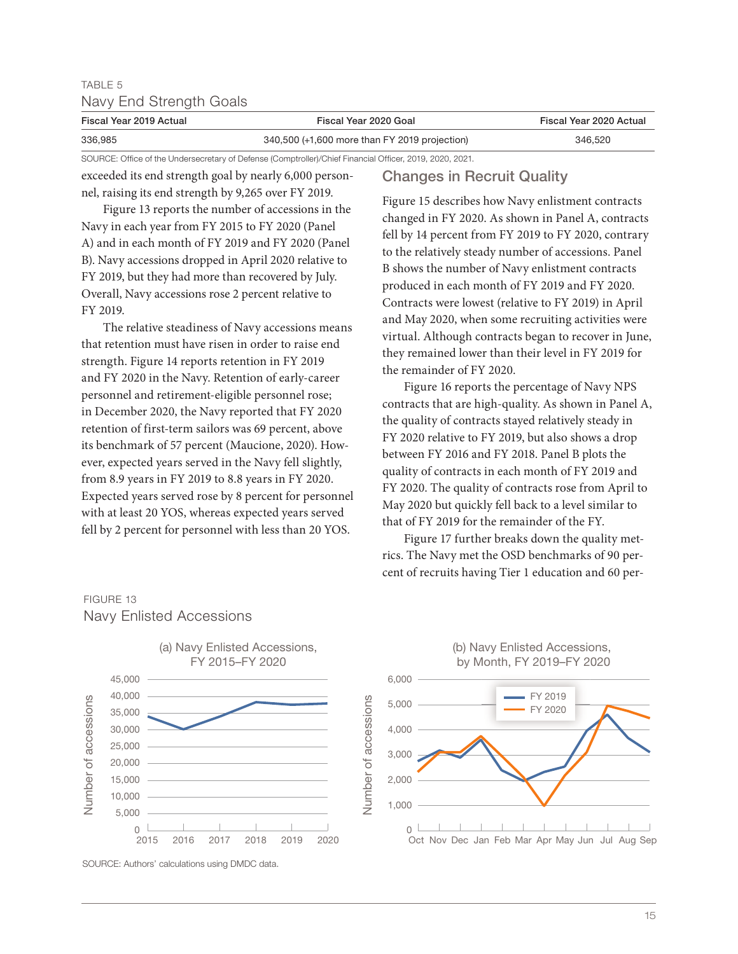### TABLE 5 Navy End Strength Goals

| Fiscal Year 2019 Actual | Fiscal Year 2020 Goal                                                                                    | Fiscal Year 2020 Actual |  |
|-------------------------|----------------------------------------------------------------------------------------------------------|-------------------------|--|
| 336.985                 | 340,500 (+1,600 more than FY 2019 projection)                                                            | 346.520                 |  |
|                         | SOURCE: Office of the Undersecretary of Defense (Comptroller)/Chief Financial Officer, 2019, 2020, 2021. |                         |  |

exceeded its end strength goal by nearly 6,000 personnel, raising its end strength by 9,265 over FY 2019.

Figure 13 reports the number of accessions in the Navy in each year from FY 2015 to FY 2020 (Panel A) and in each month of FY 2019 and FY 2020 (Panel B). Navy accessions dropped in April 2020 relative to FY 2019, but they had more than recovered by July. Overall, Navy accessions rose 2 percent relative to FY 2019.

The relative steadiness of Navy accessions means that retention must have risen in order to raise end strength. Figure 14 reports retention in FY 2019 and FY 2020 in the Navy. Retention of early-career personnel and retirement-eligible personnel rose; in December 2020, the Navy reported that FY 2020 retention of first-term sailors was 69 percent, above its benchmark of 57 percent (Maucione, 2020). However, expected years served in the Navy fell slightly, from 8.9 years in FY 2019 to 8.8 years in FY 2020. Expected years served rose by 8 percent for personnel with at least 20 YOS, whereas expected years served fell by 2 percent for personnel with less than 20 YOS.

### Changes in Recruit Quality

Figure 15 describes how Navy enlistment contracts changed in FY 2020. As shown in Panel A, contracts fell by 14 percent from FY 2019 to FY 2020, contrary to the relatively steady number of accessions. Panel B shows the number of Navy enlistment contracts produced in each month of FY 2019 and FY 2020. Contracts were lowest (relative to FY 2019) in April and May 2020, when some recruiting activities were virtual. Although contracts began to recover in June, they remained lower than their level in FY 2019 for the remainder of FY 2020.

Figure 16 reports the percentage of Navy NPS contracts that are high-quality. As shown in Panel A, the quality of contracts stayed relatively steady in FY 2020 relative to FY 2019, but also shows a drop between FY 2016 and FY 2018. Panel B plots the quality of contracts in each month of FY 2019 and FY 2020. The quality of contracts rose from April to May 2020 but quickly fell back to a level similar to that of FY 2019 for the remainder of the FY.

Figure 17 further breaks down the quality metrics. The Navy met the OSD benchmarks of 90 percent of recruits having Tier 1 education and 60 per-





## FIGURE 13

Navy Enlisted Accessions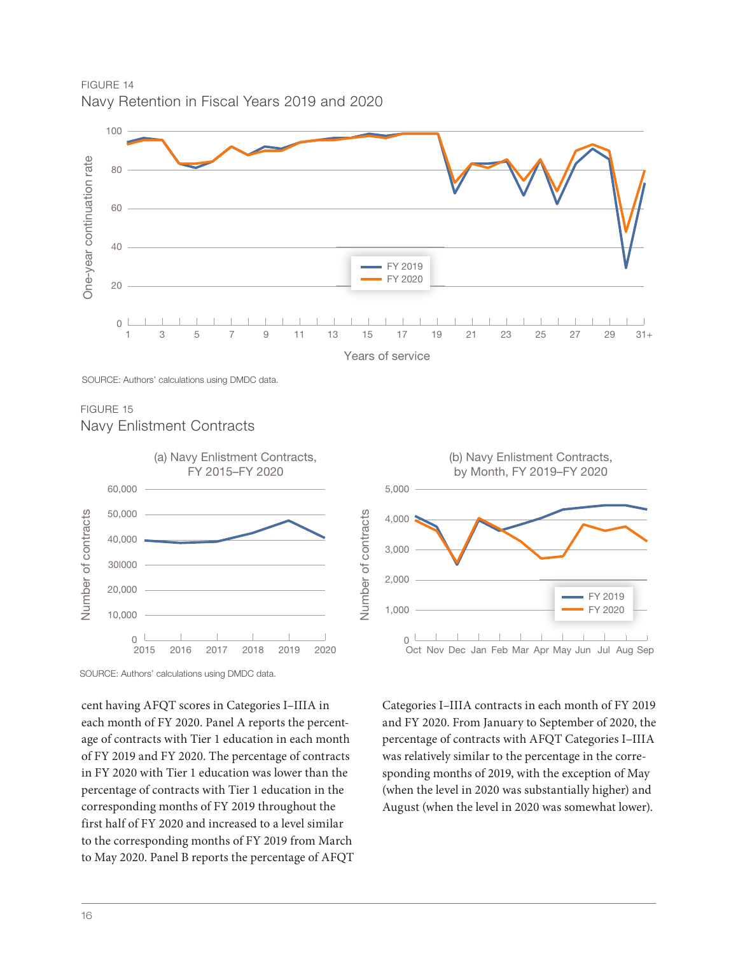FIGURE 14 Navy Retention in Fiscal Years 2019 and 2020



SOURCE: Authors' calculations using DMDC data.

FIGURE 15 Navy Enlistment Contracts





cent having AFQT scores in Categories I–IIIA in each month of FY 2020. Panel A reports the percentage of contracts with Tier 1 education in each month of FY 2019 and FY 2020. The percentage of contracts in FY 2020 with Tier 1 education was lower than the percentage of contracts with Tier 1 education in the corresponding months of FY 2019 throughout the first half of FY 2020 and increased to a level similar to the corresponding months of FY 2019 from March to May 2020. Panel B reports the percentage of AFQT

Categories I–IIIA contracts in each month of FY 2019 and FY 2020. From January to September of 2020, the percentage of contracts with AFQT Categories I–IIIA was relatively similar to the percentage in the corresponding months of 2019, with the exception of May (when the level in 2020 was substantially higher) and August (when the level in 2020 was somewhat lower).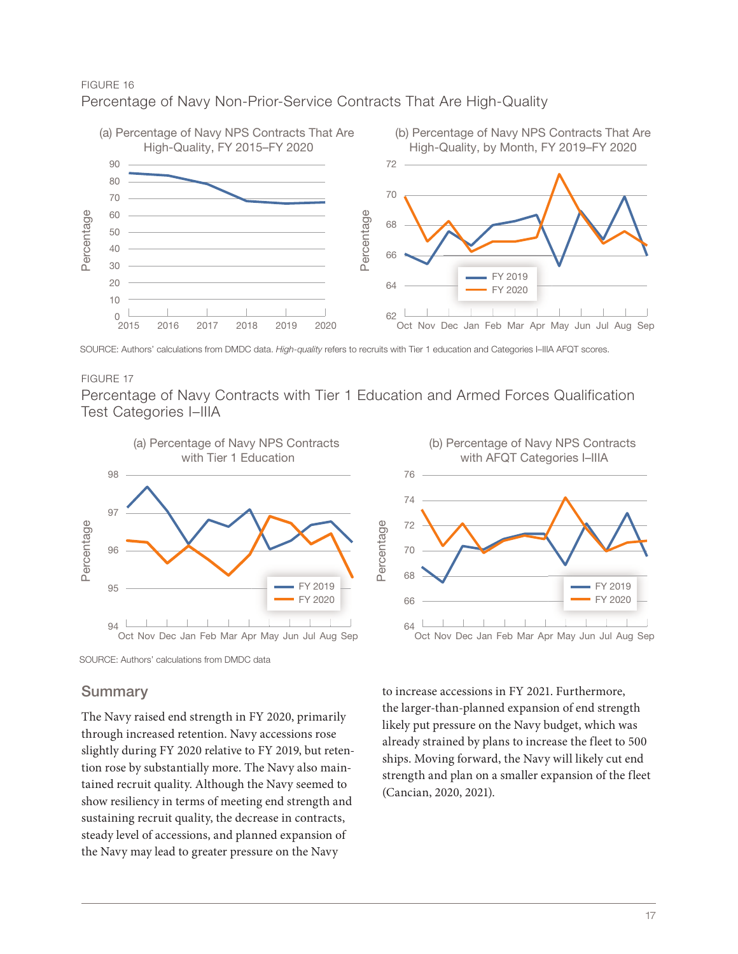### Percentage of Navy Non-Prior-Service Contracts That Are High-Quality



#### FIGURE 17

Percentage of Navy Contracts with Tier 1 Education and Armed Forces Qualification Test Categories I–IIIA





#### **Summary**

The Navy raised end strength in FY 2020, primarily through increased retention. Navy accessions rose slightly during FY 2020 relative to FY 2019, but retention rose by substantially more. The Navy also maintained recruit quality. Although the Navy seemed to show resiliency in terms of meeting end strength and sustaining recruit quality, the decrease in contracts, steady level of accessions, and planned expansion of the Navy may lead to greater pressure on the Navy

to increase accessions in FY 2021. Furthermore, the larger-than-planned expansion of end strength likely put pressure on the Navy budget, which was already strained by plans to increase the fleet to 500 ships. Moving forward, the Navy will likely cut end strength and plan on a smaller expansion of the fleet (Cancian, 2020, 2021).

SOURCE: Authors' calculations from DMDC data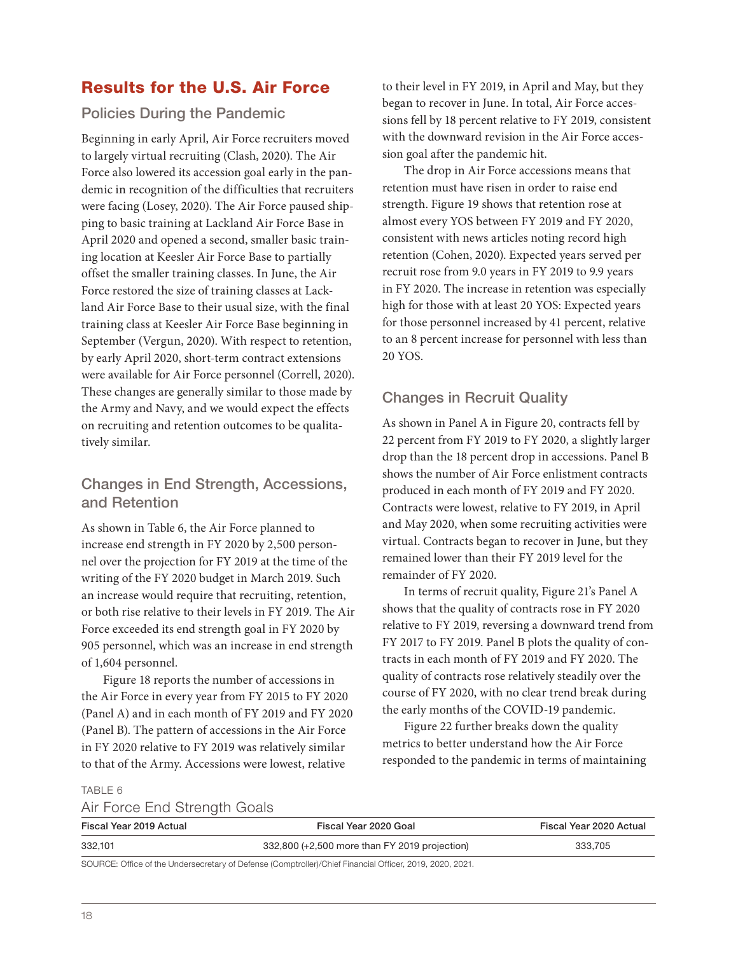### Results for the U.S. Air Force

### Policies During the Pandemic

Beginning in early April, Air Force recruiters moved to largely virtual recruiting (Clash, 2020). The Air Force also lowered its accession goal early in the pandemic in recognition of the difficulties that recruiters were facing (Losey, 2020). The Air Force paused shipping to basic training at Lackland Air Force Base in April 2020 and opened a second, smaller basic training location at Keesler Air Force Base to partially offset the smaller training classes. In June, the Air Force restored the size of training classes at Lackland Air Force Base to their usual size, with the final training class at Keesler Air Force Base beginning in September (Vergun, 2020). With respect to retention, by early April 2020, short-term contract extensions were available for Air Force personnel (Correll, 2020). These changes are generally similar to those made by the Army and Navy, and we would expect the effects on recruiting and retention outcomes to be qualitatively similar.

### Changes in End Strength, Accessions, and Retention

As shown in Table 6, the Air Force planned to increase end strength in FY 2020 by 2,500 personnel over the projection for FY 2019 at the time of the writing of the FY 2020 budget in March 2019. Such an increase would require that recruiting, retention, or both rise relative to their levels in FY 2019. The Air Force exceeded its end strength goal in FY 2020 by 905 personnel, which was an increase in end strength of 1,604 personnel.

Figure 18 reports the number of accessions in the Air Force in every year from FY 2015 to FY 2020 (Panel A) and in each month of FY 2019 and FY 2020 (Panel B). The pattern of accessions in the Air Force in FY 2020 relative to FY 2019 was relatively similar to that of the Army. Accessions were lowest, relative

to their level in FY 2019, in April and May, but they began to recover in June. In total, Air Force accessions fell by 18 percent relative to FY 2019, consistent with the downward revision in the Air Force accession goal after the pandemic hit.

The drop in Air Force accessions means that retention must have risen in order to raise end strength. Figure 19 shows that retention rose at almost every YOS between FY 2019 and FY 2020, consistent with news articles noting record high retention (Cohen, 2020). Expected years served per recruit rose from 9.0 years in FY 2019 to 9.9 years in FY 2020. The increase in retention was especially high for those with at least 20 YOS: Expected years for those personnel increased by 41 percent, relative to an 8 percent increase for personnel with less than 20 YOS.

### Changes in Recruit Quality

As shown in Panel A in Figure 20, contracts fell by 22 percent from FY 2019 to FY 2020, a slightly larger drop than the 18 percent drop in accessions. Panel B shows the number of Air Force enlistment contracts produced in each month of FY 2019 and FY 2020. Contracts were lowest, relative to FY 2019, in April and May 2020, when some recruiting activities were virtual. Contracts began to recover in June, but they remained lower than their FY 2019 level for the remainder of FY 2020.

In terms of recruit quality, Figure 21's Panel A shows that the quality of contracts rose in FY 2020 relative to FY 2019, reversing a downward trend from FY 2017 to FY 2019. Panel B plots the quality of contracts in each month of FY 2019 and FY 2020. The quality of contracts rose relatively steadily over the course of FY 2020, with no clear trend break during the early months of the COVID-19 pandemic.

Figure 22 further breaks down the quality metrics to better understand how the Air Force responded to the pandemic in terms of maintaining

#### TABLE 6

### Air Force End Strength Goals

| Fiscal Year 2019 Actual | Fiscal Year 2020 Goal                                                                                    | Fiscal Year 2020 Actual |  |
|-------------------------|----------------------------------------------------------------------------------------------------------|-------------------------|--|
| 332.101                 | 332,800 (+2,500 more than FY 2019 projection)                                                            | 333.705                 |  |
|                         | SOURCE: Office of the Undersecretary of Defense (Comptroller)/Chief Financial Officer, 2019, 2020, 2021. |                         |  |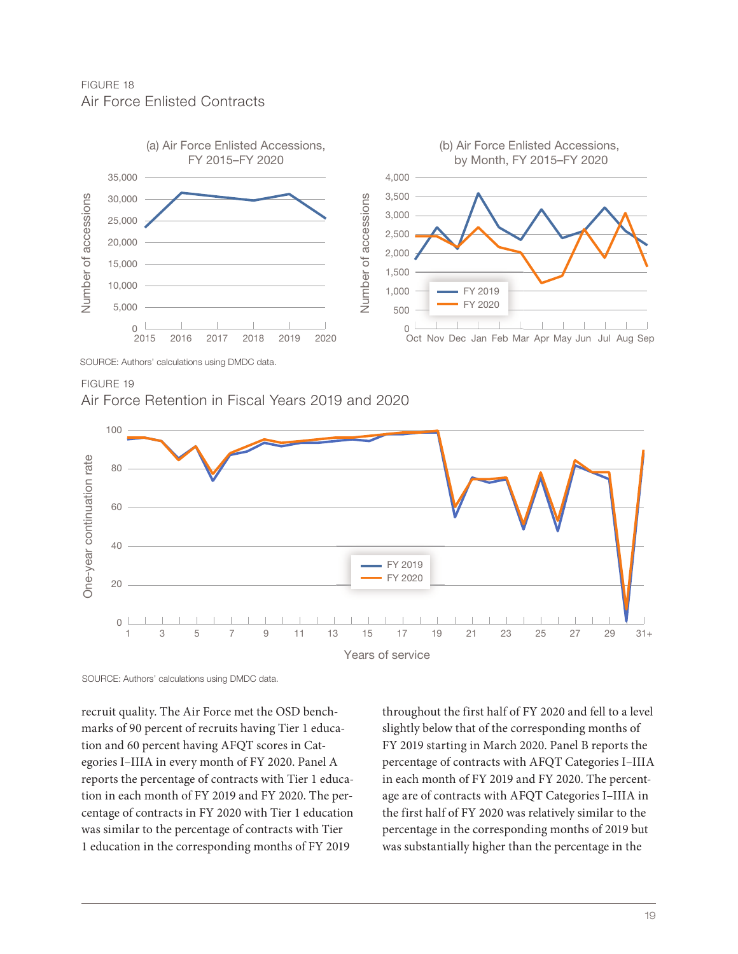FIGURE 18 Air Force Enlisted Contracts



Air Force Retention in Fiscal Years 2019 and 2020



SOURCE: Authors' calculations using DMDC data.

recruit quality. The Air Force met the OSD benchmarks of 90 percent of recruits having Tier 1 education and 60 percent having AFQT scores in Categories I–IIIA in every month of FY 2020. Panel A reports the percentage of contracts with Tier 1 education in each month of FY 2019 and FY 2020. The percentage of contracts in FY 2020 with Tier 1 education was similar to the percentage of contracts with Tier 1 education in the corresponding months of FY 2019

throughout the first half of FY 2020 and fell to a level slightly below that of the corresponding months of FY 2019 starting in March 2020. Panel B reports the percentage of contracts with AFQT Categories I–IIIA in each month of FY 2019 and FY 2020. The percentage are of contracts with AFQT Categories I–IIIA in the first half of FY 2020 was relatively similar to the percentage in the corresponding months of 2019 but was substantially higher than the percentage in the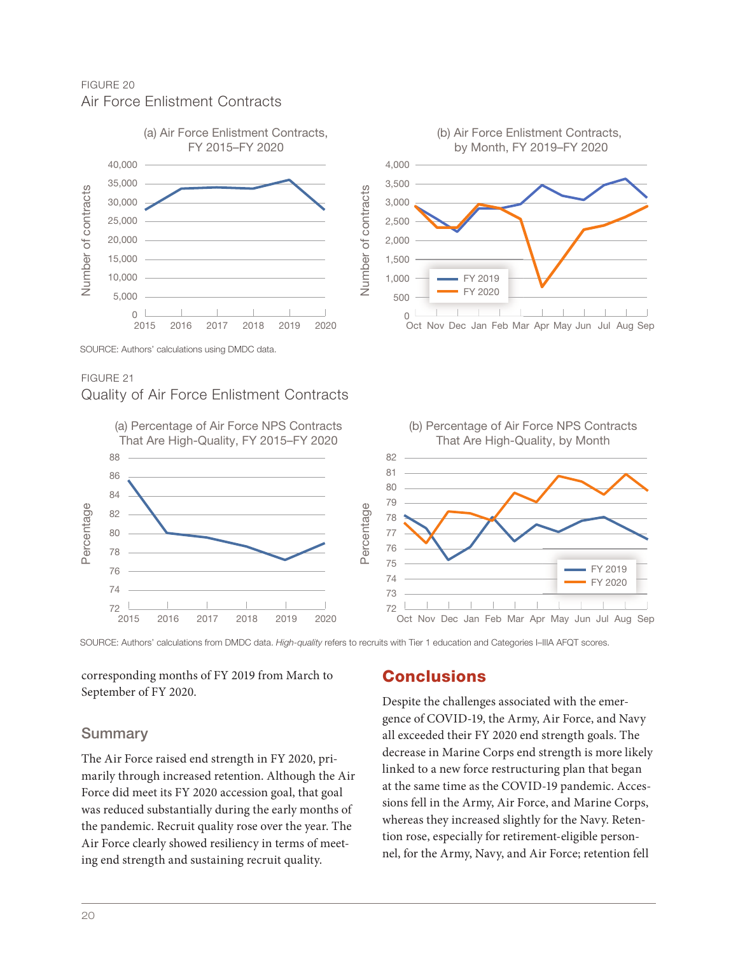FIGURE 20 Air Force Enlistment Contracts



### Quality of Air Force Enlistment Contracts



corresponding months of FY 2019 from March to September of FY 2020.

### **Summary**

The Air Force raised end strength in FY 2020, primarily through increased retention. Although the Air Force did meet its FY 2020 accession goal, that goal was reduced substantially during the early months of the pandemic. Recruit quality rose over the year. The Air Force clearly showed resiliency in terms of meeting end strength and sustaining recruit quality.

### **Conclusions**

Despite the challenges associated with the emergence of COVID-19, the Army, Air Force, and Navy all exceeded their FY 2020 end strength goals. The decrease in Marine Corps end strength is more likely linked to a new force restructuring plan that began at the same time as the COVID-19 pandemic. Accessions fell in the Army, Air Force, and Marine Corps, whereas they increased slightly for the Navy. Retention rose, especially for retirement-eligible personnel, for the Army, Navy, and Air Force; retention fell

(b) Air Force Enlistment Contracts, by Month, FY 2019–FY 2020

> FY 2019 FY 2020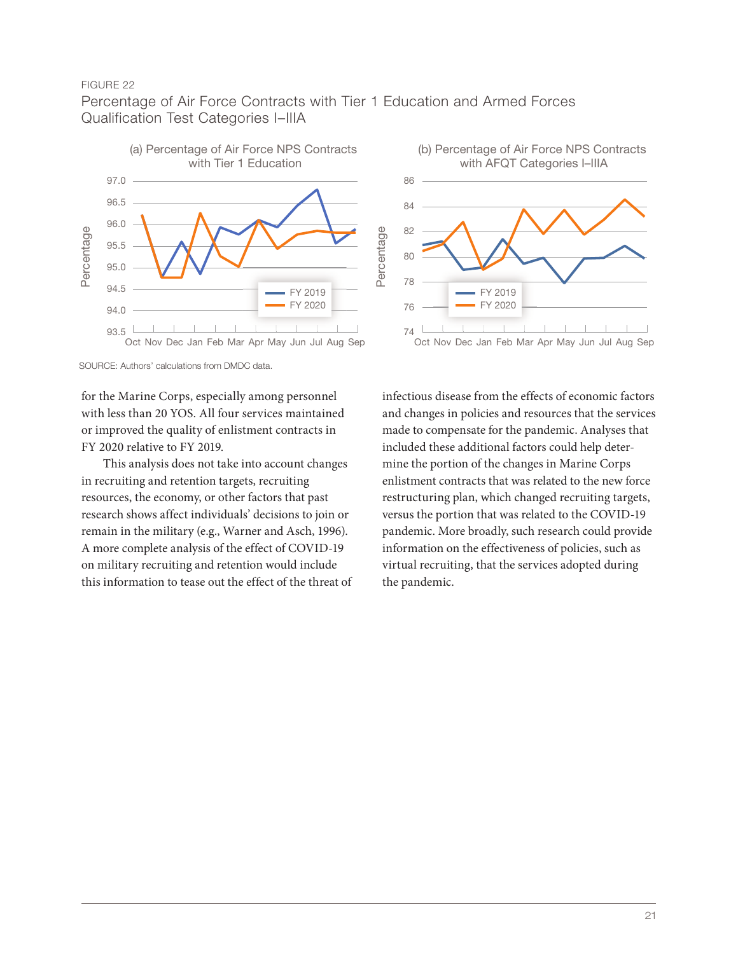### Percentage of Air Force Contracts with Tier 1 Education and Armed Forces Qualification Test Categories I–IIIA





SOURCE: Authors' calculations from DMDC data.

for the Marine Corps, especially among personnel with less than 20 YOS. All four services maintained or improved the quality of enlistment contracts in FY 2020 relative to FY 2019.

This analysis does not take into account changes in recruiting and retention targets, recruiting resources, the economy, or other factors that past research shows affect individuals' decisions to join or remain in the military (e.g., Warner and Asch, 1996). A more complete analysis of the effect of COVID-19 on military recruiting and retention would include this information to tease out the effect of the threat of

infectious disease from the effects of economic factors and changes in policies and resources that the services made to compensate for the pandemic. Analyses that included these additional factors could help determine the portion of the changes in Marine Corps enlistment contracts that was related to the new force restructuring plan, which changed recruiting targets, versus the portion that was related to the COVID-19 pandemic. More broadly, such research could provide information on the effectiveness of policies, such as virtual recruiting, that the services adopted during the pandemic.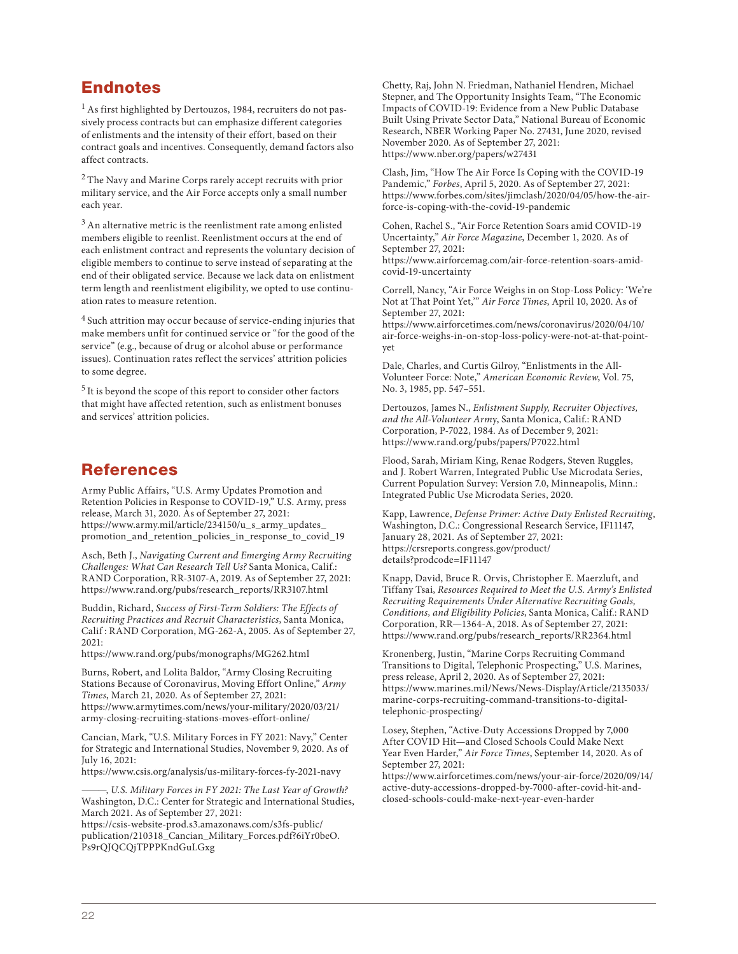### Endnotes

1 As first highlighted by Dertouzos, 1984, recruiters do not passively process contracts but can emphasize different categories of enlistments and the intensity of their effort, based on their contract goals and incentives. Consequently, demand factors also affect contracts.

2 The Navy and Marine Corps rarely accept recruits with prior military service, and the Air Force accepts only a small number each year.

 $3$  An alternative metric is the reenlistment rate among enlisted members eligible to reenlist. Reenlistment occurs at the end of each enlistment contract and represents the voluntary decision of eligible members to continue to serve instead of separating at the end of their obligated service. Because we lack data on enlistment term length and reenlistment eligibility, we opted to use continuation rates to measure retention.

<sup>4</sup> Such attrition may occur because of service-ending injuries that make members unfit for continued service or "for the good of the service" (e.g., because of drug or alcohol abuse or performance issues). Continuation rates reflect the services' attrition policies to some degree.

 $5$  It is beyond the scope of this report to consider other factors that might have affected retention, such as enlistment bonuses and services' attrition policies.

### References

Army Public Affairs, "U.S. Army Updates Promotion and Retention Policies in Response to COVID-19," U.S. Army, press release, March 31, 2020. As of September 27, 2021: https://www.army.mil/article/234150/u\_s\_army\_updates\_ [promotion\\_and\\_retention\\_policies\\_in\\_response\\_to\\_covid\\_19](https://www.army.mil/article/234150/u_s_army_updates_promotion_and_retention_policies_in_response_to_covid_19)

Asch, Beth J., *Navigating Current and Emerging Army Recruiting Challenges: What Can Research Tell Us?* Santa Monica, Calif.: RAND Corporation, RR-3107-A, 2019. As of September 27, 2021: [https://www.rand.org/pubs/research\\_reports/RR3107.html](https://www.rand.org/pubs/research_reports/RR3107.html)

Buddin, Richard, *Success of First-Term Soldiers: The Effects of Recruiting Practices and Recruit Characteristics*, Santa Monica, Calif : RAND Corporation, MG-262-A, 2005. As of September 27, 2021:

<https://www.rand.org/pubs/monographs/MG262.html>

Burns, Robert, and Lolita Baldor, "Army Closing Recruiting Stations Because of Coronavirus, Moving Effort Online," *Army Times*, March 21, 2020. As of September 27, 2021: [https://www.armytimes.com/news/your-military/2020/03/21/](https://www.armytimes.com/news/your-military/2020/03/21/army-closing-recruiting-stations-moves-effort-online/) army-closing-recruiting-stations-moves-effort-online/

Cancian, Mark, "U.S. Military Forces in FY 2021: Navy," Center for Strategic and International Studies, November 9, 2020. As of July 16, 2021:

<https://www.csis.org/analysis/us-military-forces-fy-2021-navy>

———, *U.S. Military Forces in FY 2021: The Last Year of Growth?*  Washington, D.C.: Center for Strategic and International Studies, March 2021. As of September 27, 2021:

https://csis-website-prod.s3.amazonaws.com/s3fs-public/ [publication/210318\\_Cancian\\_Military\\_Forces.pdf?6iYr0beO.](https://csis-website-prod.s3.amazonaws.com/s3fs-public/publication/210318_Cancian_Military_Forces.pdf?6iYr0beO.Ps9rQJQCQjTPPPKndGuLGxg) Ps9rQJQCQjTPPPKndGuLGxg

Chetty, Raj, John N. Friedman, Nathaniel Hendren, Michael Stepner, and The Opportunity Insights Team, "The Economic Impacts of COVID-19: Evidence from a New Public Database Built Using Private Sector Data," National Bureau of Economic Research, NBER Working Paper No. 27431, June 2020, revised November 2020. As of September 27, 2021: <https://www.nber.org/papers/w27431>

Clash, Jim, "How The Air Force Is Coping with the COVID-19 Pandemic," *Forbes*, April 5, 2020. As of September 27, 2021: [https://www.forbes.com/sites/jimclash/2020/04/05/how-the-air](https://www.forbes.com/sites/jimclash/2020/04/05/how-the-air-force-is-coping-with-the-covid-19-pandemic)force-is-coping-with-the-covid-19-pandemic

Cohen, Rachel S., "Air Force Retention Soars amid COVID-19 Uncertainty," *Air Force Magazine*, December 1, 2020. As of September 27, 2021: [https://www.airforcemag.com/air-force-retention-soars-amid](https://www.airforcemag.com/air-force-retention-soars-amid-covid-19-uncertainty)covid-19-uncertainty

Correll, Nancy, "Air Force Weighs in on Stop-Loss Policy: 'We're Not at That Point Yet,'" *Air Force Times*, April 10, 2020. As of September 27, 2021:

https://www.airforcetimes.com/news/coronavirus/2020/04/10/ [air-force-weighs-in-on-stop-loss-policy-were-not-at-that-point](https://www.airforcetimes.com/news/coronavirus/2020/04/10/air-force-weighs-in-on-stop-loss-policy-were-not-at-that-point-yet)yet

Dale, Charles, and Curtis Gilroy, "Enlistments in the All-Volunteer Force: Note," *American Economic Review*, Vol. 75, No. 3, 1985, pp. 547–551.

Dertouzos, James N., *Enlistment Supply, Recruiter Objectives, and the All-Volunteer Arm*y, Santa Monica, Calif.: RAND Corporation, P-7022, 1984. As of December 9, 2021: <https://www.rand.org/pubs/papers/P7022.html>

Flood, Sarah, Miriam King, Renae Rodgers, Steven Ruggles, and J. Robert Warren, Integrated Public Use Microdata Series, Current Population Survey: Version 7.0, Minneapolis, Minn.: Integrated Public Use Microdata Series, 2020.

Kapp, Lawrence, *Defense Primer: Active Duty Enlisted Recruiting*, Washington, D.C.: Congressional Research Service, IF11147, January 28, 2021. As of September 27, 2021: [https://crsreports.congress.gov/product/](https://crsreports.congress.gov/product/details?prodcode=IF11147) details?prodcode=IF11147

Knapp, David, Bruce R. Orvis, Christopher E. Maerzluft, and Tiffany Tsai, *Resources Required to Meet the U.S. Army's Enlisted Recruiting Requirements Under Alternative Recruiting Goals, Conditions, and Eligibility Policies*, Santa Monica, Calif.: RAND Corporation, RR—1364-A, 2018. As of September 27, 2021: [https://www.rand.org/pubs/research\\_reports/RR2364.html](https://www.rand.org/pubs/research_reports/RR2364.html)

Kronenberg, Justin, "Marine Corps Recruiting Command Transitions to Digital, Telephonic Prospecting," U.S. Marines, press release, April 2, 2020. As of September 27, 2021: [https://www.marines.mil/News/News-Display/Article/2135033/](https://www.marines.mil/News/News-Display/Article/2135033/marine-corps-recruiting-command-transitions-to-digital-telephonic-prospecting/) marine-corps-recruiting-command-transitions-to-digitaltelephonic-prospecting/

Losey, Stephen, "Active-Duty Accessions Dropped by 7,000 After COVID Hit—and Closed Schools Could Make Next Year Even Harder," *Air Force Times*, September 14, 2020. As of September 27, 2021:

[https://www.airforcetimes.com/news/your-air-force/2020/09/14/](https://www.airforcetimes.com/news/your-air-force/2020/09/14/active-duty-accessions-dropped-by-7000-after-covid-hit-and-closed-schools-could-make-next-year-even-harder) active-duty-accessions-dropped-by-7000-after-covid-hit-andclosed-schools-could-make-next-year-even-harder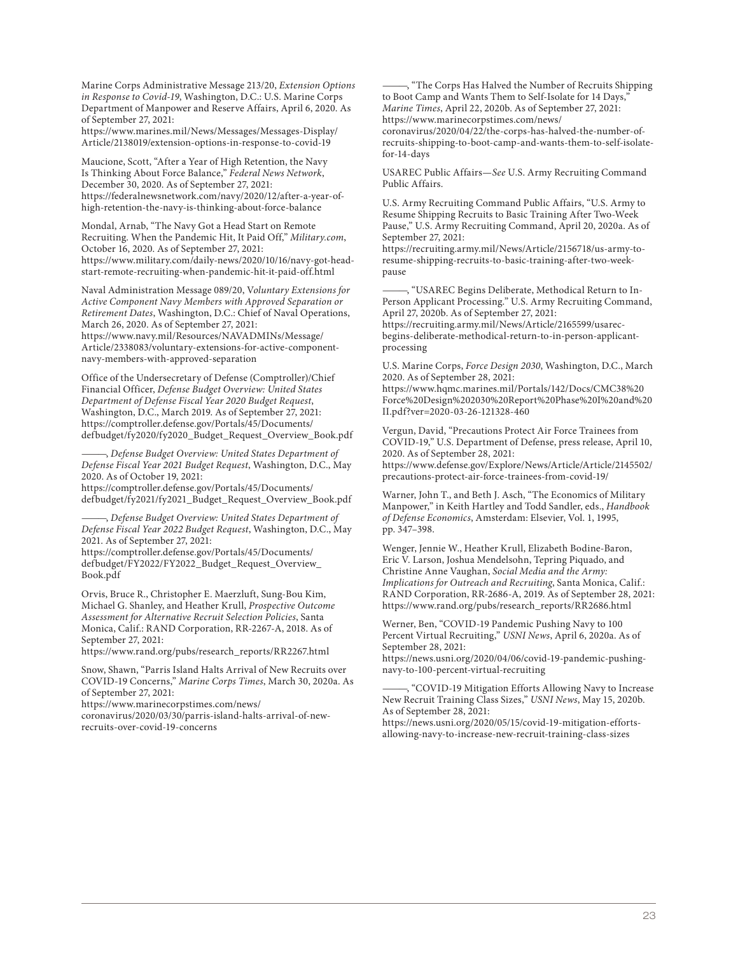Marine Corps Administrative Message 213/20, *Extension Options in Response to Covid-19*, Washington, D.C.: U.S. Marine Corps Department of Manpower and Reserve Affairs, April 6, 2020. As of September 27, 2021:

[https://www.marines.mil/News/Messages/Messages-Display/](https://www.marines.mil/News/Messages/Messages-Display/Article/2138019/extension-options-in-response-to-covid-19) Article/2138019/extension-options-in-response-to-covid-19

Maucione, Scott, "After a Year of High Retention, the Navy Is Thinking About Force Balance," *Federal News Network*, December 30, 2020. As of September 27, 2021: [https://federalnewsnetwork.com/navy/2020/12/after-a-year-of](https://federalnewsnetwork.com/navy/2020/12/after-a-year-of-high-retention-the-navy-is-thinking-about-force-balance)high-retention-the-navy-is-thinking-about-force-balance

Mondal, Arnab, "The Navy Got a Head Start on Remote Recruiting. When the Pandemic Hit, It Paid Off," *Military.com*, October 16, 2020. As of September 27, 2021: [https://www.military.com/daily-news/2020/10/16/navy-got-head](https://www.military.com/daily-news/2020/10/16/navy-got-head-start-remote-recruiting-when-pandemic-hit-it-paid-off.html)start-remote-recruiting-when-pandemic-hit-it-paid-off.html

Naval Administration Message 089/20, V*oluntary Extensions for Active Component Navy Members with Approved Separation or Retirement Dates*, Washington, D.C.: Chief of Naval Operations, March 26, 2020. As of September 27, 2021: https://www.navy.mil/Resources/NAVADMINs/Message/ [Article/2338083/voluntary-extensions-for-active-component](https://www.navy.mil/Resources/NAVADMINs/Message/Article/2338083/voluntary-extensions-for-active-component-navy-members-with-approved-separation)navy-members-with-approved-separation

Office of the Undersecretary of Defense (Comptroller)/Chief Financial Officer, *Defense Budget Overview: United States Department of Defense Fiscal Year 2020 Budget Request*, Washington, D.C., March 2019. As of September 27, 2021: https://comptroller.defense.gov/Portals/45/Documents/ [defbudget/fy2020/fy2020\\_Budget\\_Request\\_Overview\\_Book.pdf](https://comptroller.defense.gov/Portals/45/Documents/defbudget/fy2020/fy2020_Budget_Request_Overview_Book.pdf)

———, *Defense Budget Overview: United States Department of Defense Fiscal Year 2021 Budget Request*, Washington, D.C., May 2020. As of October 19, 2021: https://comptroller.defense.gov/Portals/45/Documents/

[defbudget/fy2021/fy2021\\_Budget\\_Request\\_Overview\\_Book.pdf](https://comptroller.defense.gov/Portals/45/Documents/defbudget/fy2021/fy2021_Budget_Request_Overview_Book.pdf) 

———, *Defense Budget Overview: United States Department of Defense Fiscal Year 2022 Budget Request*, Washington, D.C., May 2021. As of September 27, 2021:

https://comptroller.defense.gov/Portals/45/Documents/ [defbudget/FY2022/FY2022\\_Budget\\_Request\\_Overview\\_](https://comptroller.defense.gov/Portals/45/Documents/defbudget/FY2022/FY2022_Budget_Request_Overview_Book.pdf) Book.pdf

Orvis, Bruce R., Christopher E. Maerzluft, Sung-Bou Kim, Michael G. Shanley, and Heather Krull, *Prospective Outcome Assessment for Alternative Recruit Selection Policies*, Santa Monica, Calif.: RAND Corporation, RR-2267-A, 2018. As of September 27, 2021:

[https://www.rand.org/pubs/research\\_reports/RR2267.html](https://www.rand.org/pubs/research_reports/RR2267.html)

Snow, Shawn, "Parris Island Halts Arrival of New Recruits over COVID-19 Concerns," *Marine Corps Times*, March 30, 2020a. As of September 27, 2021:

https://www.marinecorpstimes.com/news/

[coronavirus/2020/03/30/parris-island-halts-arrival-of-new](https://www.marinecorpstimes.com/news/coronavirus/2020/03/30/parris-island-halts-arrival-of-new-recruits-over-covid-19-concerns)recruits-over-covid-19-concerns

, "The Corps Has Halved the Number of Recruits Shipping to Boot Camp and Wants Them to Self-Isolate for 14 Days," *Marine Times*, April 22, 2020b. As of September 27, 2021: https://www.marinecorpstimes.com/news/ coronavirus/2020/04/22/the-corps-has-halved-the-number-of[recruits-shipping-to-boot-camp-and-wants-them-to-self-isolate](https://www.marinecorpstimes.com/news/coronavirus/2020/04/22/the-corps-has-halved-the-number-of-recruits-shipping-to-boot-camp-and-wants-them-to-self-isolate-for-14-days)for-14-days

USAREC Public Affairs—*See* U.S. Army Recruiting Command Public Affairs.

U.S. Army Recruiting Command Public Affairs, "U.S. Army to Resume Shipping Recruits to Basic Training After Two-Week Pause," U.S. Army Recruiting Command, April 20, 2020a. As of September 27, 2021:

[https://recruiting.army.mil/News/Article/2156718/us-army-to](https://recruiting.army.mil/News/Article/2156718/us-army-to-resume-shipping-recruits-to-basic-training-after-two-week-pause)resume-shipping-recruits-to-basic-training-after-two-weekpause

-, "USAREC Begins Deliberate, Methodical Return to In-Person Applicant Processing." U.S. Army Recruiting Command, April 27, 2020b. As of September 27, 2021: https://recruiting.army.mil/News/Article/2165599/usarec-

[begins-deliberate-methodical-return-to-in-person-applicant](https://recruiting.army.mil/News/Article/2165599/usarec-begins-deliberate-methodical-return-to-in-person-applicant-processing)processing

U.S. Marine Corps, *Force Design 2030*, Washington, D.C., March 2020. As of September 28, 2021:

https://www.hqmc.marines.mil/Portals/142/Docs/CMC38%20 [Force%20Design%202030%20Report%20Phase%20I%20and%20](https://www.hqmc.marines.mil/Portals/142/Docs/CMC38%20Force%20Design%202030%20Report%20Phase%20I%20and%20II.pdf?ver=2020-03-26-121328-460) II.pdf?ver=2020-03-26-121328-460

Vergun, David, "Precautions Protect Air Force Trainees from COVID-19," U.S. Department of Defense, press release, April 10, 2020. As of September 28, 2021: [https://www.defense.gov/Explore/News/Article/Article/2145502/](https://www.defense.gov/Explore/News/Article/Article/2145502/precautions-protect-air-force-trainees-from-covid-19/) precautions-protect-air-force-trainees-from-covid-19/

Warner, John T., and Beth J. Asch, "The Economics of Military Manpower," in Keith Hartley and Todd Sandler, eds., *Handbook of Defense Economics*, Amsterdam: Elsevier, Vol. 1, 1995, pp. 347–398.

Wenger, Jennie W., Heather Krull, Elizabeth Bodine-Baron, Eric V. Larson, Joshua Mendelsohn, Tepring Piquado, and Christine Anne Vaughan, *Social Media and the Army: Implications for Outreach and Recruiting*, Santa Monica, Calif.: RAND Corporation, RR-2686-A, 2019. As of September 28, 2021: [https://www.rand.org/pubs/research\\_reports/RR2686.html](https://www.rand.org/pubs/research_reports/RR2686.html)

Werner, Ben, "COVID-19 Pandemic Pushing Navy to 100 Percent Virtual Recruiting," *USNI News*, April 6, 2020a. As of September 28, 2021:

[https://news.usni.org/2020/04/06/covid-19-pandemic-pushing](https://news.usni.org/2020/04/06/covid-19-pandemic-pushing-navy-to-100-percent-virtual-recruiting)navy-to-100-percent-virtual-recruiting

, "COVID-19 Mitigation Efforts Allowing Navy to Increase New Recruit Training Class Sizes," *USNI News*, May 15, 2020b. As of September 28, 2021:

[https://news.usni.org/2020/05/15/covid-19-mitigation-efforts](https://news.usni.org/2020/05/15/covid-19-mitigation-efforts-allowing-navy-to-increase-new-recruit-training-class-sizes)allowing-navy-to-increase-new-recruit-training-class-sizes